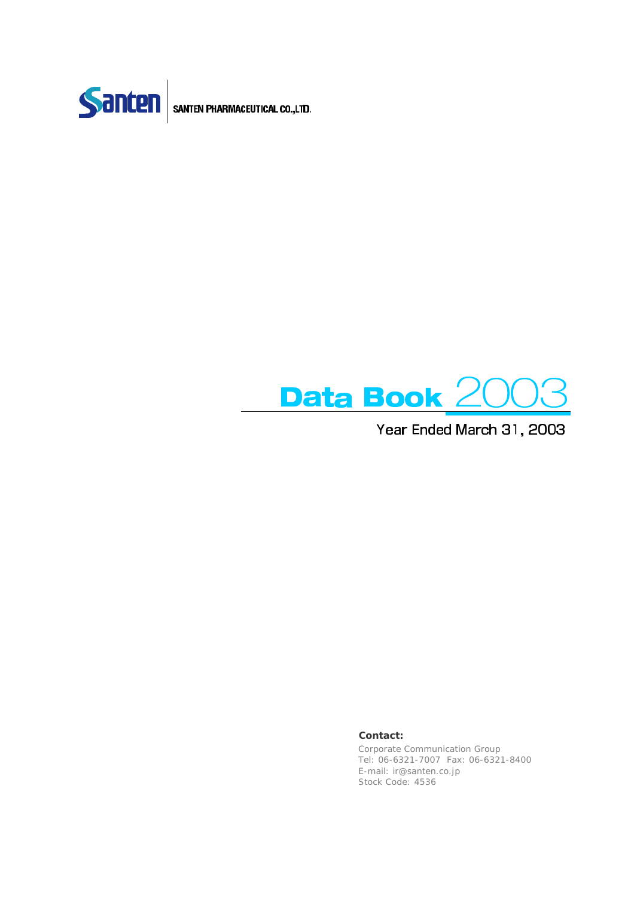



Year Ended March 31, 2003

#### **Contact:**

Corporate Communication Group Tel: 06-6321-7007 Fax: 06-6321-8400 E-mail: ir@santen.co.jp Stock Code: 4536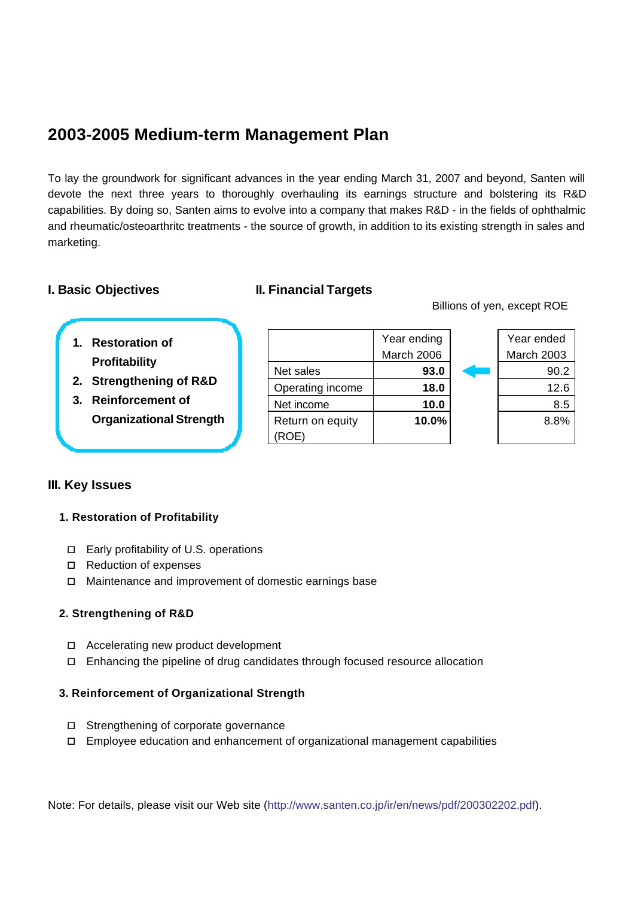### **2003-2005 Medium-term Management Plan**

To lay the groundwork for significant advances in the year ending March 31, 2007 and beyond, Santen will devote the next three years to thoroughly overhauling its earnings structure and bolstering its R&D capabilities. By doing so, Santen aims to evolve into a company that makes R&D - in the fields of ophthalmic and rheumatic/osteoarthritc treatments - the source of growth, in addition to its existing strength in sales and marketing.

### **I. Basic Objectives II. Financial Targets**

Billions of yen, except ROE

- **1. Restoration of Profitability**
- **2. Strengthening of R&D**
- **3. Reinforcement of Organizational Strength**

### **III. Key Issues**

### **1. Restoration of Profitability**

- $\Box$  Early profitability of U.S. operations
- $\Box$  Reduction of expenses
- o Maintenance and improvement of domestic earnings base

### **2. Strengthening of R&D**

- $\Box$  Accelerating new product development
- $\Box$  Enhancing the pipeline of drug candidates through focused resource allocation

#### **3. Reinforcement of Organizational Strength**

- $\Box$  Strengthening of corporate governance
- $\Box$  Employee education and enhancement of organizational management capabilities

Note: For details, please visit our Web site (http://www.santen.co.jp/ir/en/news/pdf/200302202.pdf).

Year ending March 2006 Net sales **93.0 93.0** 90.2 Operating income **18.0** 12.6 Net income  $\begin{array}{|c|c|c|c|c|} \hline \text{Net income} & \text{10.0} & \text{10.0} \ \hline \end{array}$ Return on equity (ROE)

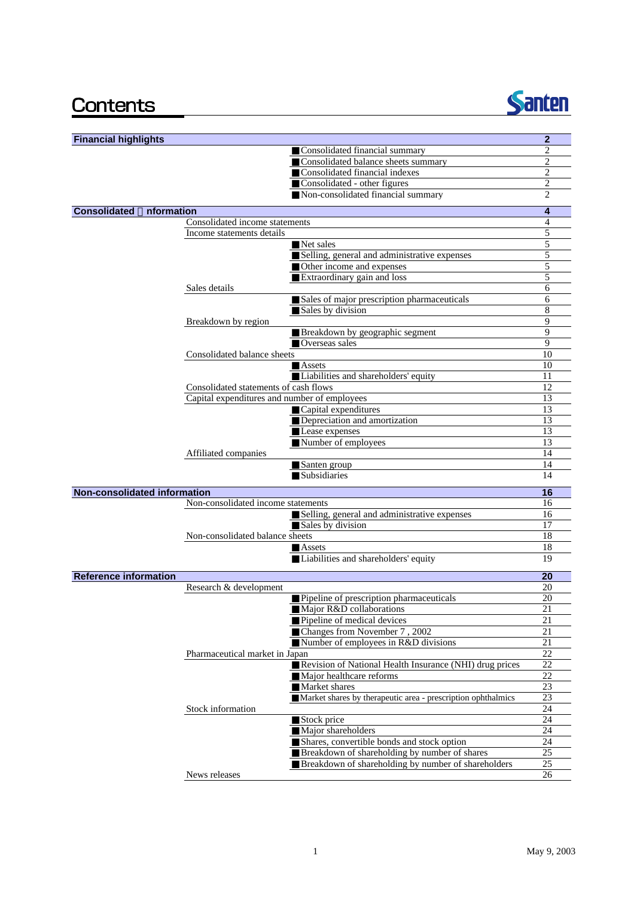## Contents



| <b>Financial highlights</b>       |                                              |                                                                      | $\mathbf{2}$   |
|-----------------------------------|----------------------------------------------|----------------------------------------------------------------------|----------------|
|                                   |                                              | Consolidated financial summary                                       | $\overline{c}$ |
|                                   |                                              | Consolidated balance sheets summary                                  | $\overline{c}$ |
|                                   |                                              | Consolidated financial indexes                                       | $\overline{c}$ |
|                                   |                                              | Consolidated - other figures                                         | 2              |
|                                   |                                              | Non-consolidated financial summary                                   | $\overline{c}$ |
| <b>Consolidated</b><br>nformation |                                              |                                                                      | 4              |
|                                   | Consolidated income statements               |                                                                      | 4              |
|                                   | Income statements details                    |                                                                      | 5              |
|                                   |                                              | Net sales                                                            | 5              |
|                                   |                                              | Selling, general and administrative expenses                         | 5              |
|                                   |                                              | Other income and expenses                                            | 5              |
|                                   |                                              | Extraordinary gain and loss                                          | 5              |
|                                   | Sales details                                |                                                                      | 6              |
|                                   |                                              | Sales of major prescription pharmaceuticals                          | 6              |
|                                   |                                              | Sales by division                                                    | 8              |
|                                   | Breakdown by region                          |                                                                      | 9              |
|                                   |                                              | Breakdown by geographic segment                                      | 9              |
|                                   |                                              | Overseas sales                                                       | 9              |
|                                   | Consolidated balance sheets                  |                                                                      | 10             |
|                                   |                                              | Assets                                                               | 10             |
|                                   |                                              | Liabilities and shareholders' equity                                 | 11             |
|                                   | Consolidated statements of cash flows        |                                                                      | 12             |
|                                   | Capital expenditures and number of employees |                                                                      | 13             |
|                                   |                                              | Capital expenditures                                                 | 13             |
|                                   |                                              | Depreciation and amortization                                        | 13             |
|                                   |                                              | Lease expenses                                                       | 13             |
|                                   |                                              | Number of employees                                                  | 13             |
|                                   | Affiliated companies                         |                                                                      | 14             |
|                                   |                                              | Santen group                                                         | 14             |
|                                   |                                              | Subsidiaries                                                         | 14             |
| Non-consolidated information      |                                              |                                                                      | 16             |
|                                   | Non-consolidated income statements           |                                                                      | 16             |
|                                   |                                              | Selling, general and administrative expenses                         | 16             |
|                                   |                                              | Sales by division                                                    | 17             |
|                                   | Non-consolidated balance sheets              |                                                                      | 18             |
|                                   |                                              | Assets                                                               | 18             |
|                                   |                                              | Liabilities and shareholders' equity                                 | 19             |
|                                   |                                              |                                                                      |                |
| <b>Reference information</b>      |                                              |                                                                      | 20             |
|                                   | Research & development                       |                                                                      | 20<br>20       |
|                                   |                                              | Pipeline of prescription pharmaceuticals<br>Major R&D collaborations | 21             |
|                                   |                                              | Pipeline of medical devices                                          | 21             |
|                                   |                                              | Changes from November 7, 2002                                        | 21             |
|                                   |                                              | Number of employees in R&D divisions                                 | 21             |
|                                   | Pharmaceutical market in Japan               |                                                                      | 22             |
|                                   |                                              | Revision of National Health Insurance (NHI) drug prices              | 22             |
|                                   |                                              | Major healthcare reforms                                             | 22             |
|                                   |                                              | Market shares                                                        | 23             |
|                                   |                                              | Market shares by therapeutic area - prescription ophthalmics         | 23             |
|                                   | Stock information                            |                                                                      | 24             |
|                                   |                                              | Stock price                                                          | 24             |
|                                   |                                              | Major shareholders                                                   | 24             |
|                                   |                                              | Shares, convertible bonds and stock option                           | 24             |
|                                   |                                              | Breakdown of shareholding by number of shares                        | 25             |
|                                   |                                              | Breakdown of shareholding by number of shareholders                  | 25             |
|                                   | News releases                                |                                                                      | 26             |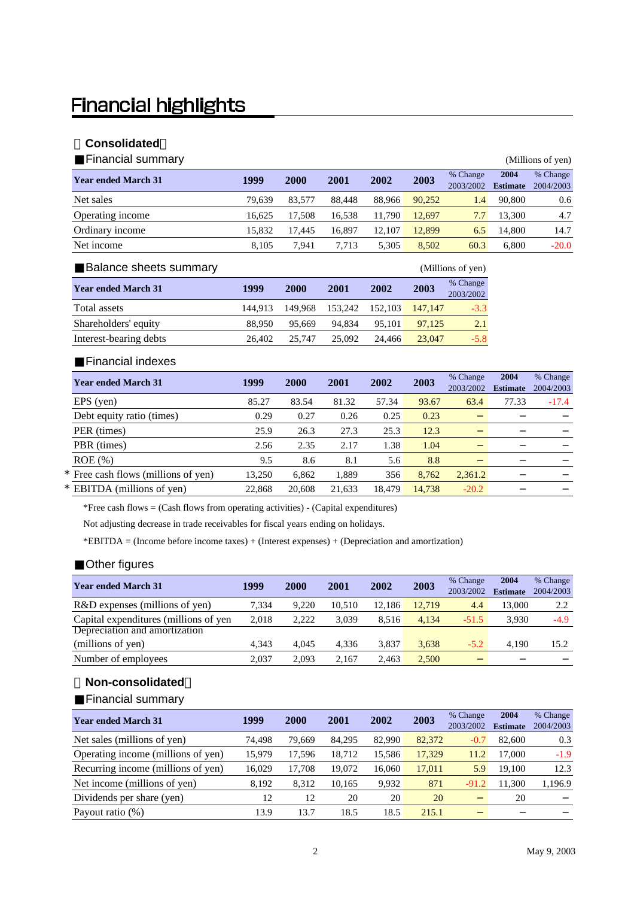# **Financial highlights**

### **Consolidated**

| Financial summary          |        |        |        |        |        |                       |                         | (Millions of yen)     |
|----------------------------|--------|--------|--------|--------|--------|-----------------------|-------------------------|-----------------------|
| <b>Year ended March 31</b> | 1999   | 2000   | 2001   | 2002   | 2003   | % Change<br>2003/2002 | 2004<br><b>Estimate</b> | % Change<br>2004/2003 |
| Net sales                  | 79.639 | 83,577 | 88.448 | 88,966 | 90.252 | 1.4                   | 90,800                  | 0.6                   |
| Operating income           | 16.625 | 17.508 | 16.538 | 11.790 | 12.697 | 7.7                   | 13.300                  | 4.7                   |
| Ordinary income            | 15,832 | 17.445 | 16.897 | 12.107 | 12.899 | 6.5                   | 14.800                  | 14.7                  |
| Net income                 | 8.105  | 7.941  | 7.713  | 5.305  | 8.502  | 60.3                  | 6.800                   | $-20.0$               |

| Balance sheets summary     |         |         |         |         |         | (Millions of yen)     |
|----------------------------|---------|---------|---------|---------|---------|-----------------------|
| <b>Year ended March 31</b> | 1999    | 2000    | 2001    | 2002    | 2003    | % Change<br>2003/2002 |
| Total assets               | 144.913 | 149.968 | 153.242 | 152.103 | 147.147 | $-3.3$                |
| Shareholders' equity       | 88,950  | 95,669  | 94.834  | 95.101  | 97.125  | 2.1                   |
| Interest-bearing debts     | 26,402  | 25,747  | 25,092  | 24.466  | 23,047  | $-5.8$                |

#### Financial indexes

| <b>Year ended March 31</b>          | 1999   | 2000   | 2001   | 2002   | 2003   | % Change<br>2003/2002 | 2004<br><b>Estimate</b> | % Change<br>2004/2003 |
|-------------------------------------|--------|--------|--------|--------|--------|-----------------------|-------------------------|-----------------------|
| EPS (yen)                           | 85.27  | 83.54  | 81.32  | 57.34  | 93.67  | 63.4                  | 77.33                   | $-17.4$               |
| Debt equity ratio (times)           | 0.29   | 0.27   | 0.26   | 0.25   | 0.23   |                       |                         |                       |
| PER (times)                         | 25.9   | 26.3   | 27.3   | 25.3   | 12.3   |                       |                         |                       |
| PBR (times)                         | 2.56   | 2.35   | 2.17   | 1.38   | 1.04   |                       |                         |                       |
| $ROE$ $(\%)$                        | 9.5    | 8.6    | 8.1    | 5.6    | 8.8    |                       |                         |                       |
| * Free cash flows (millions of yen) | 13.250 | 6.862  | 1,889  | 356    | 8.762  | 2,361.2               |                         |                       |
| * EBITDA (millions of yen)          | 22,868 | 20,608 | 21.633 | 18.479 | 14.738 | $-20.2$               |                         |                       |

\*Free cash flows = (Cash flows from operating activities) - (Capital expenditures)

Not adjusting decrease in trade receivables for fiscal years ending on holidays.

\*EBITDA = (Income before income taxes) + (Interest expenses) + (Depreciation and amortization)

#### Other figures

| <b>Year ended March 31</b>            | 1999  | <b>2000</b> | 2001   | 2002   | 2003   | % Change<br>2003/2002 | 2004<br><b>Estimate</b> | % Change<br>2004/2003 |
|---------------------------------------|-------|-------------|--------|--------|--------|-----------------------|-------------------------|-----------------------|
| R&D expenses (millions of yen)        | 7.334 | 9.220       | 10.510 | 12.186 | 12.719 | 4.4                   | 13.000                  | 2.2                   |
|                                       |       |             |        |        |        |                       |                         |                       |
| Capital expenditures (millions of yen | 2,018 | 2.222       | 3.039  | 8.516  | 4,134  | $-51.5$               | 3.930                   | $-4.9$                |
| Depreciation and amortization         |       |             |        |        |        |                       |                         |                       |
| (millions of yen)                     | 4.343 | 4.045       | 4.336  | 3.837  | 3.638  | $-5.2$                | 4.190                   | 15.2                  |
| Number of employees                   | 2.037 | 2.093       | 2.167  | 2.463  | 2,500  |                       |                         |                       |

#### **Non-consolidated**

Financial summary

| <b>Year ended March 31</b>         | 1999   | <b>2000</b> | 2001   | 2002   | 2003   | % Change<br>2003/2002 | 2004<br><b>Estimate</b> | % Change<br>2004/2003 |
|------------------------------------|--------|-------------|--------|--------|--------|-----------------------|-------------------------|-----------------------|
| Net sales (millions of yen)        | 74.498 | 79.669      | 84.295 | 82,990 | 82,372 | $-0.7$                | 82,600                  | 0.3                   |
| Operating income (millions of yen) | 15,979 | 17.596      | 18.712 | 15.586 | 17.329 | 11.2                  | 17.000                  | $-1.9$                |
| Recurring income (millions of yen) | 16.029 | 17.708      | 19.072 | 16.060 | 17.011 | 5.9                   | 19.100                  | 12.3                  |
| Net income (millions of yen)       | 8.192  | 8.312       | 10.165 | 9.932  | 871    | $-91.2$               | 11.300                  | 1,196.9               |
| Dividends per share (yen)          | 12     | 12          | 20     | 20     | 20     |                       | 20                      |                       |
| Payout ratio $(\%)$                | 13.9   | 13.7        | 18.5   | 18.5   | 215.1  |                       |                         |                       |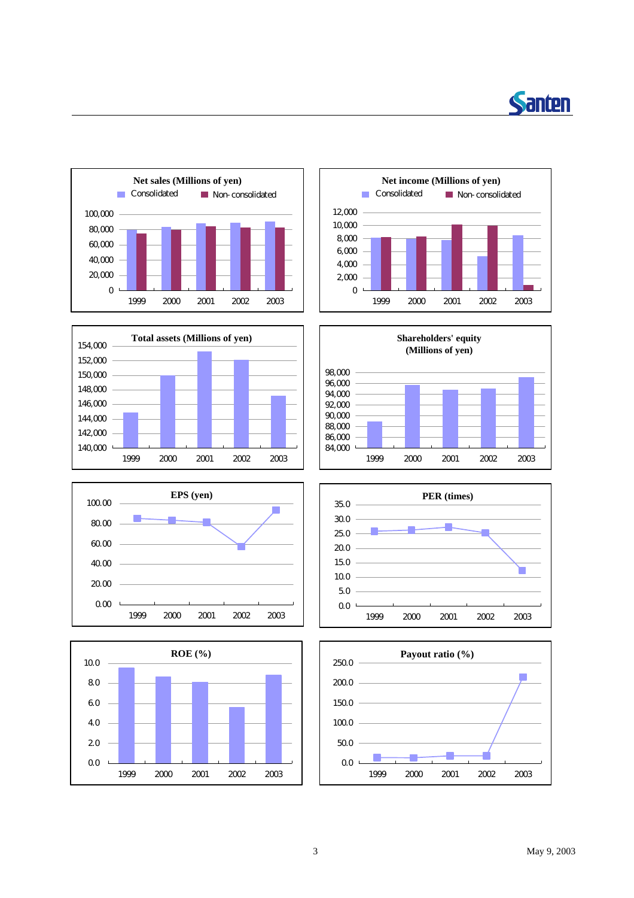















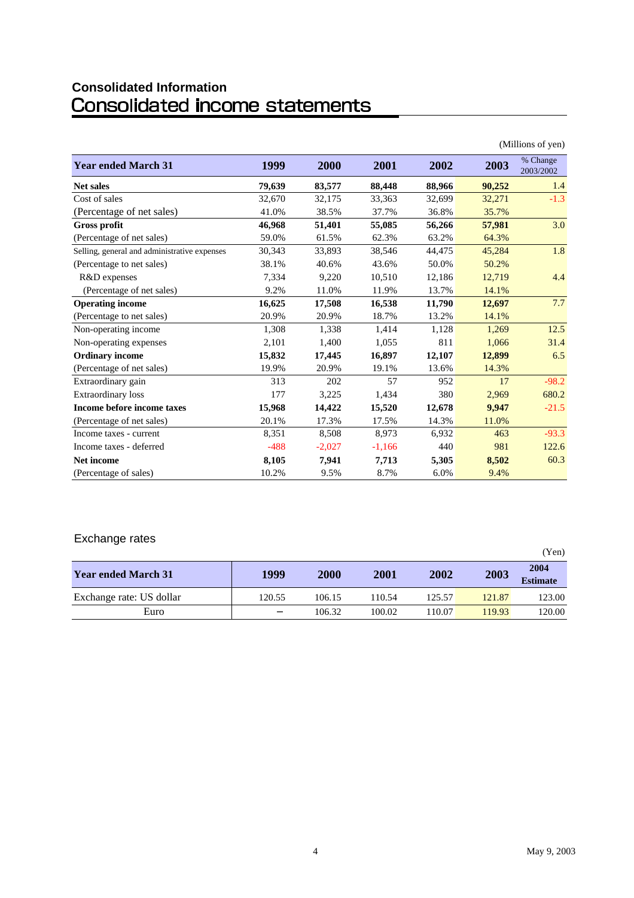# **Consolidated Information**

|                                              |        |          |          |        |        | (Millions of yen)     |
|----------------------------------------------|--------|----------|----------|--------|--------|-----------------------|
| <b>Year ended March 31</b>                   | 1999   | 2000     | 2001     | 2002   | 2003   | % Change<br>2003/2002 |
| <b>Net sales</b>                             | 79,639 | 83,577   | 88,448   | 88,966 | 90,252 | 1.4                   |
| Cost of sales                                | 32,670 | 32,175   | 33,363   | 32,699 | 32,271 | $-1.3$                |
| (Percentage of net sales)                    | 41.0%  | 38.5%    | 37.7%    | 36.8%  | 35.7%  |                       |
| <b>Gross profit</b>                          | 46,968 | 51,401   | 55,085   | 56,266 | 57,981 | 3.0                   |
| (Percentage of net sales)                    | 59.0%  | 61.5%    | 62.3%    | 63.2%  | 64.3%  |                       |
| Selling, general and administrative expenses | 30,343 | 33,893   | 38,546   | 44,475 | 45,284 | 1.8                   |
| (Percentage to net sales)                    | 38.1%  | 40.6%    | 43.6%    | 50.0%  | 50.2%  |                       |
| R&D expenses                                 | 7,334  | 9,220    | 10,510   | 12,186 | 12,719 | 4.4                   |
| (Percentage of net sales)                    | 9.2%   | 11.0%    | 11.9%    | 13.7%  | 14.1%  |                       |
| <b>Operating income</b>                      | 16,625 | 17,508   | 16,538   | 11,790 | 12,697 | 7.7                   |
| (Percentage to net sales)                    | 20.9%  | 20.9%    | 18.7%    | 13.2%  | 14.1%  |                       |
| Non-operating income                         | 1,308  | 1,338    | 1,414    | 1,128  | 1,269  | 12.5                  |
| Non-operating expenses                       | 2,101  | 1,400    | 1,055    | 811    | 1,066  | 31.4                  |
| <b>Ordinary income</b>                       | 15,832 | 17,445   | 16,897   | 12,107 | 12,899 | 6.5                   |
| (Percentage of net sales)                    | 19.9%  | 20.9%    | 19.1%    | 13.6%  | 14.3%  |                       |
| Extraordinary gain                           | 313    | 202      | 57       | 952    | 17     | $-98.2$               |
| Extraordinary loss                           | 177    | 3,225    | 1,434    | 380    | 2,969  | 680.2                 |
| Income before income taxes                   | 15,968 | 14,422   | 15,520   | 12,678 | 9,947  | $-21.5$               |
| (Percentage of net sales)                    | 20.1%  | 17.3%    | 17.5%    | 14.3%  | 11.0%  |                       |
| Income taxes - current                       | 8,351  | 8,508    | 8,973    | 6,932  | 463    | $-93.3$               |
| Income taxes - deferred                      | $-488$ | $-2,027$ | $-1,166$ | 440    | 981    | 122.6                 |
| <b>Net income</b>                            | 8,105  | 7,941    | 7,713    | 5,305  | 8,502  | 60.3                  |
| (Percentage of sales)                        | 10.2%  | 9.5%     | 8.7%     | 6.0%   | 9.4%   |                       |

### Exchange rates

|                            |        |             |        |        |        | (Yen)                   |
|----------------------------|--------|-------------|--------|--------|--------|-------------------------|
| <b>Year ended March 31</b> | 1999   | <b>2000</b> | 2001   | 2002   | 2003   | 2004<br><b>Estimate</b> |
| Exchange rate: US dollar   | 120.55 | 106.15      | 110.54 | 125.57 | 121.87 | 123.00                  |
| Euro                       |        | 106.32      | 100.02 | 110.07 | 119.93 | 120.00                  |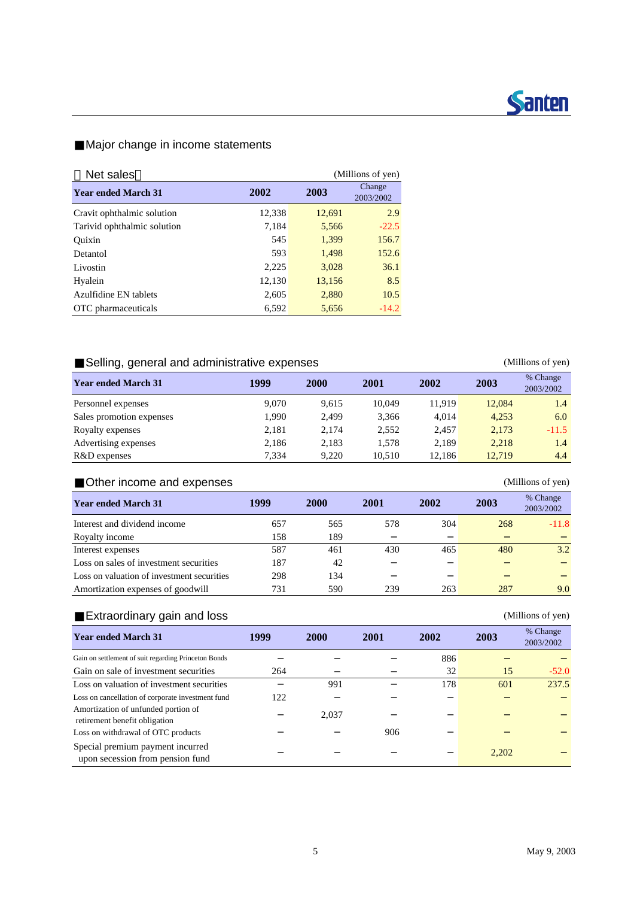

#### Major change in income statements

| Net sales<br>(Millions of yen) |        |        |                     |  |  |  |
|--------------------------------|--------|--------|---------------------|--|--|--|
| <b>Year ended March 31</b>     | 2002   | 2003   | Change<br>2003/2002 |  |  |  |
| Cravit ophthalmic solution     | 12,338 | 12,691 | 2.9                 |  |  |  |
| Tarivid ophthalmic solution    | 7,184  | 5,566  | $-22.5$             |  |  |  |
| Ouixin                         | 545    | 1,399  | 156.7               |  |  |  |
| Detantol                       | 593    | 1,498  | 152.6               |  |  |  |
| Livostin                       | 2,225  | 3.028  | 36.1                |  |  |  |
| Hyalein                        | 12,130 | 13,156 | 8.5                 |  |  |  |
| Azulfidine EN tablets          | 2.605  | 2,880  | 10.5                |  |  |  |
| OTC pharmaceuticals            | 6,592  | 5,656  | $-14.2$             |  |  |  |

### Selling, general and administrative expenses (Millions of yen)

| <b>Year ended March 31</b> | 1999  | <b>2000</b> | 2001   | 2002   | 2003   | % Change<br>2003/2002 |
|----------------------------|-------|-------------|--------|--------|--------|-----------------------|
| Personnel expenses         | 9.070 | 9,615       | 10.049 | 11.919 | 12.084 | 1.4                   |
| Sales promotion expenses   | 1.990 | 2.499       | 3.366  | 4.014  | 4.253  | 6.0                   |
| Royalty expenses           | 2,181 | 2.174       | 2.552  | 2.457  | 2,173  | $-11.5$               |
| Advertising expenses       | 2,186 | 2,183       | 1.578  | 2.189  | 2.218  | 1.4                   |
| R&D expenses               | 7.334 | 9.220       | 10.510 | 12.186 | 12,719 | 4.4                   |

### Other income and expenses (Millions of yen)

| <b>Year ended March 31</b>                 | 1999 | 2000 | 2001 | 2002 | 2003 | % Change<br>2003/2002 |
|--------------------------------------------|------|------|------|------|------|-----------------------|
| Interest and dividend income               | 657  | 565  | 578  | 304  | 268  | $-11.8$               |
| Royalty income                             | 158  | 189  |      |      |      |                       |
| Interest expenses                          | 587  | 461  | 430  | 465  | 480  | 3.2                   |
| Loss on sales of investment securities     | 187  | 42   |      |      |      |                       |
| Loss on valuation of investment securities | 298  | 134  |      |      |      |                       |
| Amortization expenses of goodwill          | 731  | 590  | 239  | 263  | 287  | 9.0                   |

### Extraordinary gain and loss (Millions of yen)

| <b>Year ended March 31</b>                                           | 1999 | <b>2000</b> | 2001 | 2002 | 2003  | % Change<br>2003/2002 |
|----------------------------------------------------------------------|------|-------------|------|------|-------|-----------------------|
| Gain on settlement of suit regarding Princeton Bonds                 |      |             |      | 886  |       |                       |
| Gain on sale of investment securities                                | 264  |             |      | 32   | 15    | $-52.0$               |
| Loss on valuation of investment securities                           |      | 991         |      | 178  | 601   | 237.5                 |
| Loss on cancellation of corporate investment fund                    | 122  |             |      |      |       |                       |
| Amortization of unfunded portion of<br>retirement benefit obligation |      | 2,037       |      |      |       |                       |
| Loss on withdrawal of OTC products                                   |      |             | 906  |      |       |                       |
| Special premium payment incurred<br>upon secession from pension fund |      |             |      |      | 2,202 |                       |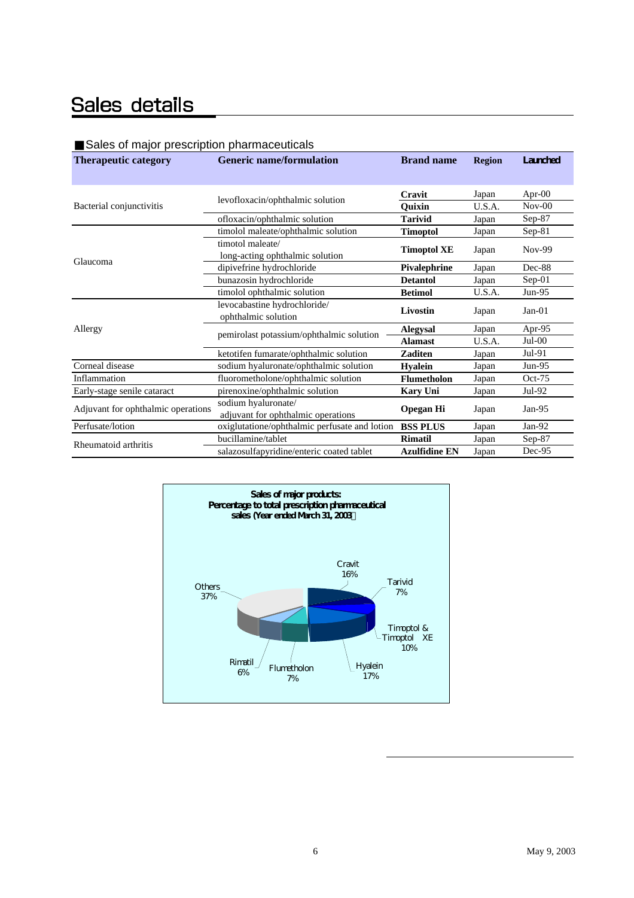# Sales details

#### Sales of major prescription pharmaceuticals

| <b>Therapeutic category</b>        | <b>Generic name/formulation</b>                           | <b>Brand name</b>        | <b>Region</b>  | Lanched            |
|------------------------------------|-----------------------------------------------------------|--------------------------|----------------|--------------------|
|                                    | levofloxacin/ophthalmic solution                          | Cravit                   | Japan          | Apr-00             |
| Bacterial conjunctivitis           | ofloxacin/ophthalmic solution                             | Quixin<br><b>Tarivid</b> | U.S.A.         | $Nov-00$<br>Sep-87 |
|                                    | timolol maleate/ophthalmic solution                       | <b>Timoptol</b>          | Japan<br>Japan | $Sep-81$           |
|                                    | timotol maleate/<br>long-acting ophthalmic solution       | <b>Timoptol XE</b>       | Japan          | Nov-99             |
| Glaucoma                           | dipivefrine hydrochloride                                 | Pivalephrine             | Japan          | Dec-88             |
|                                    | bunazosin hydrochloride                                   | <b>Detantol</b>          | Japan          | $Sep-01$           |
|                                    | timolol ophthalmic solution                               | <b>Betimol</b>           | U.S.A.         | $Jun-95$           |
|                                    | levocabastine hydrochloride/                              | <b>Livostin</b>          | Japan          | $Jan-01$           |
|                                    | ophthalmic solution                                       |                          |                |                    |
| Allergy                            | pemirolast potassium/ophthalmic solution                  | <b>Alegysal</b>          | Japan          | Apr-95             |
|                                    |                                                           | <b>Alamast</b>           | U.S.A.         | $Jul-00$           |
|                                    | ketotifen fumarate/ophthalmic solution                    | <b>Zaditen</b>           | Japan          | $Jul-91$           |
| Corneal disease                    | sodium hyaluronate/ophthalmic solution                    | <b>Hyalein</b>           | Japan          | $Jun-95$           |
| Inflammation                       | fluorometholone/ophthalmic solution                       | <b>Flumetholon</b>       | Japan          | $Oct-75$           |
| Early-stage senile cataract        | pirenoxine/ophthalmic solution                            | <b>Kary Uni</b>          | Japan          | Jul-92             |
| Adjuvant for ophthalmic operations | sodium hyaluronate/<br>adjuvant for ophthalmic operations | <b>Opegan Hi</b>         | Japan          | $Jan-95$           |
| Perfusate/lotion                   | oxiglutatione/ophthalmic perfusate and lotion             | <b>BSS PLUS</b>          | Japan          | Jan-92             |
| Rheumatoid arthritis               | bucillamine/tablet                                        | <b>Rimatil</b>           | Japan          | Sep-87             |
|                                    | salazosulfapyridine/enteric coated tablet                 | <b>Azulfidine EN</b>     | Japan          | Dec-95             |

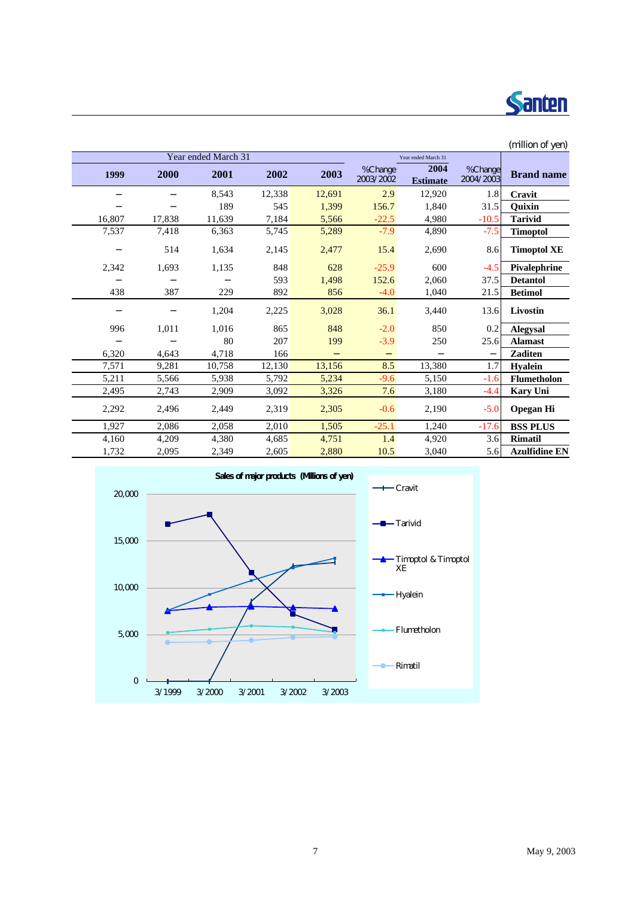

|        |        |                     |        |        |                      |                         |                      | (million of yen)     |
|--------|--------|---------------------|--------|--------|----------------------|-------------------------|----------------------|----------------------|
|        |        | Year ended March 31 |        |        |                      | Year ended March 31     |                      |                      |
| 1999   | 2000   | 2001                | 2002   | 2003   | %Change<br>2003/2002 | 2004<br><b>Estimate</b> | %Change<br>2004/2003 | <b>Brand name</b>    |
|        |        | 8,543               | 12,338 | 12,691 | 2.9                  | 12,920                  | 1.8                  | Cravit               |
|        |        | 189                 | 545    | 1,399  | 156.7                | 1,840                   | 31.5                 | Ouixin               |
| 16,807 | 17,838 | 11,639              | 7,184  | 5,566  | $-22.5$              | 4,980                   | $-10.5$              | <b>Tarivid</b>       |
| 7,537  | 7,418  | 6,363               | 5,745  | 5,289  | $-7.9$               | 4,890                   | $-7.5$               | <b>Timoptol</b>      |
|        | 514    | 1,634               | 2,145  | 2,477  | 15.4                 | 2,690                   | 8.6                  | <b>Timoptol XE</b>   |
| 2,342  | 1,693  | 1,135               | 848    | 628    | $-25.9$              | 600                     | $-4.5$               | Pivalephrine         |
|        |        |                     | 593    | 1,498  | 152.6                | 2,060                   | 37.5                 | <b>Detantol</b>      |
| 438    | 387    | 229                 | 892    | 856    | $-4.0$               | 1,040                   | 21.5                 | <b>Betimol</b>       |
|        |        | 1,204               | 2,225  | 3,028  | 36.1                 | 3,440                   | 13.6                 | <b>Livostin</b>      |
| 996    | 1,011  | 1,016               | 865    | 848    | $-2.0$               | 850                     | 0.2                  | <b>Alegysal</b>      |
|        |        | 80                  | 207    | 199    | $-3.9$               | 250                     | 25.6                 | <b>Alamast</b>       |
| 6,320  | 4,643  | 4,718               | 166    |        |                      |                         |                      | <b>Zaditen</b>       |
| 7,571  | 9,281  | 10,758              | 12,130 | 13,156 | 8.5                  | 13,380                  | 1.7                  | <b>Hyalein</b>       |
| 5,211  | 5,566  | 5,938               | 5,792  | 5,234  | $-9.6$               | 5,150                   | $-1.6$               | <b>Flumetholon</b>   |
| 2,495  | 2,743  | 2,909               | 3,092  | 3,326  | 7.6                  | 3,180                   | $-4.4$               | <b>Kary Uni</b>      |
| 2,292  | 2,496  | 2,449               | 2,319  | 2,305  | $-0.6$               | 2,190                   | $-5.0$               | <b>Opegan Hi</b>     |
| 1,927  | 2,086  | 2,058               | 2,010  | 1,505  | $-25.1$              | 1,240                   | $-17.6$              | <b>BSS PLUS</b>      |
| 4,160  | 4,209  | 4,380               | 4,685  | 4,751  | 1.4                  | 4,920                   | 3.6                  | <b>Rimatil</b>       |
| 1,732  | 2,095  | 2,349               | 2,605  | 2,880  | 10.5                 | 3,040                   | 5.6                  | <b>Azulfidine EN</b> |

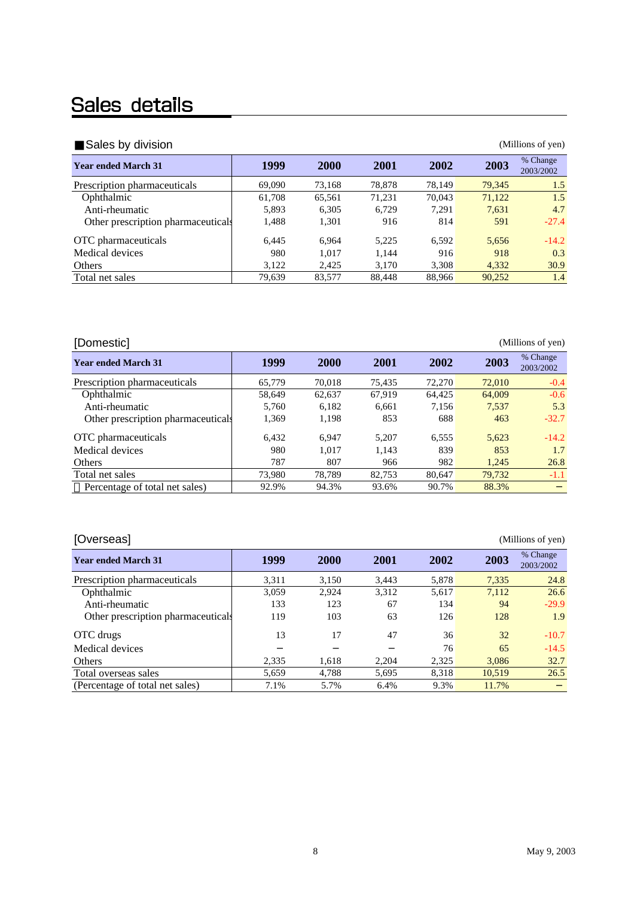# Sales details

| Sales by division                  |        |             |             |        |        | (Millions of yen)     |
|------------------------------------|--------|-------------|-------------|--------|--------|-----------------------|
| <b>Year ended March 31</b>         | 1999   | <b>2000</b> | <b>2001</b> | 2002   | 2003   | % Change<br>2003/2002 |
| Prescription pharmaceuticals       | 69,090 | 73.168      | 78,878      | 78.149 | 79,345 | 1.5                   |
| Ophthalmic                         | 61,708 | 65.561      | 71,231      | 70,043 | 71,122 | 1.5                   |
| Anti-rheumatic                     | 5,893  | 6.305       | 6,729       | 7,291  | 7.631  | 4.7                   |
| Other prescription pharmaceuticals | 1,488  | 1,301       | 916         | 814    | 591    | $-27.4$               |
| OTC pharmaceuticals                | 6.445  | 6.964       | 5.225       | 6.592  | 5.656  | $-14.2$               |
| Medical devices                    | 980    | 1.017       | 1.144       | 916    | 918    | 0.3                   |
| Others                             | 3,122  | 2,425       | 3.170       | 3.308  | 4.332  | 30.9                  |
| Total net sales                    | 79,639 | 83,577      | 88.448      | 88.966 | 90,252 | 1.4                   |

| [Domestic]                         |        |             |        |        |        | (Millions of yen)     |
|------------------------------------|--------|-------------|--------|--------|--------|-----------------------|
| <b>Year ended March 31</b>         | 1999   | <b>2000</b> | 2001   | 2002   | 2003   | % Change<br>2003/2002 |
| Prescription pharmaceuticals       | 65,779 | 70.018      | 75.435 | 72,270 | 72,010 | $-0.4$                |
| Ophthalmic                         | 58.649 | 62.637      | 67.919 | 64.425 | 64,009 | $-0.6$                |
| Anti-rheumatic                     | 5.760  | 6.182       | 6.661  | 7.156  | 7.537  | 5.3                   |
| Other prescription pharmaceuticals | 1,369  | 1,198       | 853    | 688    | 463    | $-32.7$               |
| OTC pharmaceuticals                | 6.432  | 6.947       | 5.207  | 6.555  | 5.623  | $-14.2$               |
| Medical devices                    | 980    | 1.017       | 1.143  | 839    | 853    | 1.7                   |
| Others                             | 787    | 807         | 966    | 982    | 1.245  | 26.8                  |
| Total net sales                    | 73.980 | 78.789      | 82.753 | 80.647 | 79.732 | $-1.1$                |
| Percentage of total net sales)     | 92.9%  | 94.3%       | 93.6%  | 90.7%  | 88.3%  |                       |

| [Overseas]                         | (Millions of yen) |             |             |       |        |                       |  |  |  |  |  |  |
|------------------------------------|-------------------|-------------|-------------|-------|--------|-----------------------|--|--|--|--|--|--|
| <b>Year ended March 31</b>         | 1999              | <b>2000</b> | <b>2001</b> | 2002  | 2003   | % Change<br>2003/2002 |  |  |  |  |  |  |
| Prescription pharmaceuticals       | 3,311             | 3,150       | 3.443       | 5,878 | 7,335  | 24.8                  |  |  |  |  |  |  |
| Ophthalmic                         | 3.059             | 2.924       | 3.312       | 5.617 | 7.112  | 26.6                  |  |  |  |  |  |  |
| Anti-rheumatic                     | 133               | 123         | 67          | 134   | 94     | $-29.9$               |  |  |  |  |  |  |
| Other prescription pharmaceuticals | 119               | 103         | 63          | 126   | 128    | 1.9                   |  |  |  |  |  |  |
| OTC drugs                          | 13                | 17          | 47          | 36    | 32     | $-10.7$               |  |  |  |  |  |  |
| Medical devices                    |                   |             |             | 76    | 65     | $-14.5$               |  |  |  |  |  |  |
| Others                             | 2,335             | 1.618       | 2.204       | 2,325 | 3.086  | 32.7                  |  |  |  |  |  |  |
| Total overseas sales               | 5.659             | 4.788       | 5.695       | 8.318 | 10.519 | 26.5                  |  |  |  |  |  |  |
| (Percentage of total net sales)    | 7.1%              | 5.7%        | 6.4%        | 9.3%  | 11.7%  |                       |  |  |  |  |  |  |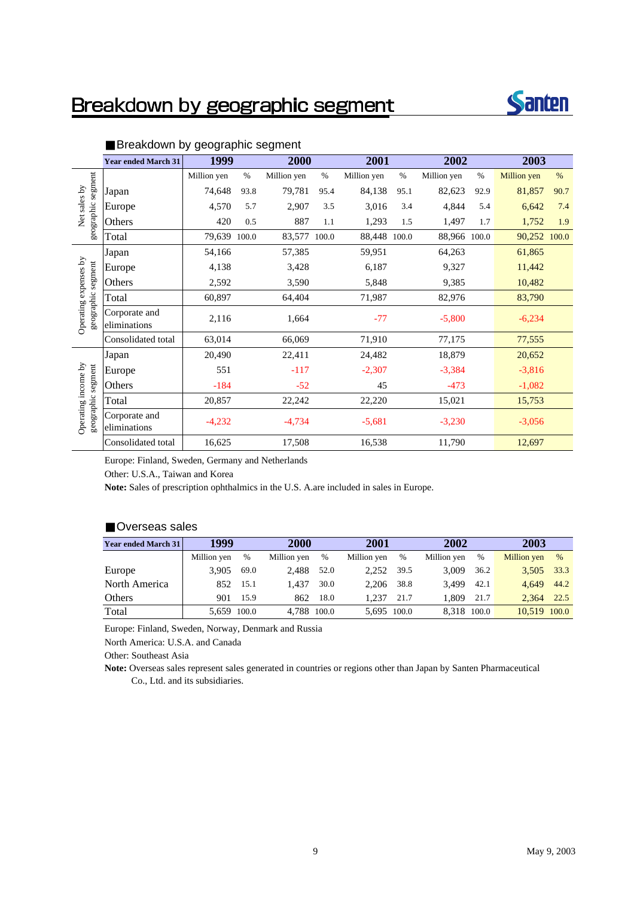## Breakdown by geographic segment



|                                             | <b>Year ended March 31</b>    | 1999         |      | 2000         |      | 2001         |      | 2002         |      | 2003         |      |
|---------------------------------------------|-------------------------------|--------------|------|--------------|------|--------------|------|--------------|------|--------------|------|
|                                             |                               | Million yen  | $\%$ | Million yen  | $\%$ | Million yen  | $\%$ | Million yen  | $\%$ | Million yen  | %    |
|                                             | Japan                         | 74,648       | 93.8 | 79,781       | 95.4 | 84,138       | 95.1 | 82,623       | 92.9 | 81,857       | 90.7 |
| Net sales by                                | Europe                        | 4,570        | 5.7  | 2,907        | 3.5  | 3,016        | 3.4  | 4,844        | 5.4  | 6,642        | 7.4  |
| geographic segment                          | Others                        | 420          | 0.5  | 887          | 1.1  | 1,293        | 1.5  | 1,497        | 1.7  | 1,752        | 1.9  |
|                                             | Total                         | 79,639 100.0 |      | 83,577 100.0 |      | 88,448 100.0 |      | 88,966 100.0 |      | 90,252 100.0 |      |
|                                             | Japan                         | 54,166       |      | 57,385       |      | 59,951       |      | 64,263       |      | 61,865       |      |
|                                             | Europe                        | 4,138        |      | 3,428        |      | 6,187        |      | 9,327        |      | 11,442       |      |
|                                             | Others                        | 2,592        |      | 3,590        |      | 5,848        |      | 9,385        |      | 10,482       |      |
| Operating expenses by<br>geographic segment | Total                         | 60,897       |      | 64,404       |      | 71,987       |      | 82,976       |      | 83,790       |      |
|                                             | Corporate and<br>eliminations | 2,116        |      | 1,664        |      | $-77$        |      | $-5,800$     |      | $-6,234$     |      |
|                                             | Consolidated total            | 63,014       |      | 66,069       |      | 71,910       |      | 77,175       |      | 77,555       |      |
|                                             | Japan                         | 20,490       |      | 22,411       |      | 24,482       |      | 18,879       |      | 20,652       |      |
|                                             | Europe                        | 551          |      | $-117$       |      | $-2,307$     |      | $-3,384$     |      | $-3,816$     |      |
|                                             | Others                        | $-184$       |      | $-52$        |      | 45           |      | $-473$       |      | $-1,082$     |      |
|                                             | Total                         | 20,857       |      | 22,242       |      | 22,220       |      | 15,021       |      | 15,753       |      |
| Operating income by<br>geographic segment   | Corporate and<br>eliminations | $-4,232$     |      | $-4,734$     |      | $-5,681$     |      | $-3,230$     |      | $-3,056$     |      |
|                                             | Consolidated total            | 16,625       |      | 17,508       |      | 16,538       |      | 11,790       |      | 12,697       |      |

#### Breakdown by geographic segment

Europe: Finland, Sweden, Germany and Netherlands

Other: U.S.A., Taiwan and Korea

**Note:** Sales of prescription ophthalmics in the U.S. A.are included in sales in Europe.

#### Overseas sales

| <b>Year ended March 31</b> | 1999        |      |             | <b>2000</b> |             | 2001        |             | 2002 |              |      |
|----------------------------|-------------|------|-------------|-------------|-------------|-------------|-------------|------|--------------|------|
|                            | Million yen | $\%$ | Million yen | $\%$        | Million yen | %           | Million yen | $\%$ | Million yen  | $\%$ |
| Europe                     | 3.905       | 69.0 | 2.488       | 52.0        | 2.252       | 39.5        | 3.009       | 36.2 | 3,505 33.3   |      |
| North America              | 852         | 15.1 | 1.437       | 30.0        | 2.206       | 38.8        | 3.499       | 42.1 | 4.649        | 44.2 |
| Others                     | 901         | 15.9 | 862         | 18.0        | 1.237       | 21.7        | 1.809       | 21.7 | 2.364        | 22.5 |
| Total                      | 5,659 100.0 |      | 4,788 100.0 |             |             | 5,695 100.0 | 8.318 100.0 |      | 10.519 100.0 |      |

Europe: Finland, Sweden, Norway, Denmark and Russia

North America: U.S.A. and Canada

Other: Southeast Asia

**Note:** Overseas sales represent sales generated in countries or regions other than Japan by Santen Pharmaceutical Co., Ltd. and its subsidiaries.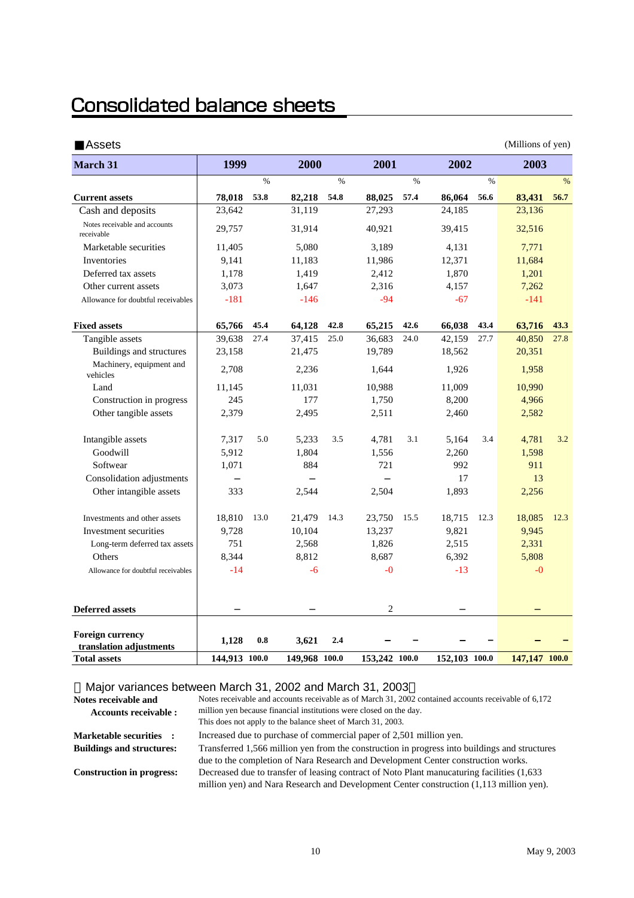## **Consolidated balance sheets**

| <b>Assets</b>                                      |               |      |               |      |               |      |               |      | (Millions of yen) |               |
|----------------------------------------------------|---------------|------|---------------|------|---------------|------|---------------|------|-------------------|---------------|
| <b>March 31</b>                                    | 1999          |      | 2000          |      | 2001          |      | 2002          |      | 2003              |               |
|                                                    |               | $\%$ |               | $\%$ |               | $\%$ |               | $\%$ |                   | $\frac{0}{0}$ |
| <b>Current assets</b>                              | 78,018        | 53.8 | 82,218        | 54.8 | 88,025        | 57.4 | 86,064        | 56.6 | 83,431            | 56.7          |
| Cash and deposits                                  | 23,642        |      | 31,119        |      | 27,293        |      | 24,185        |      | 23,136            |               |
| Notes receivable and accounts<br>receivable        | 29,757        |      | 31,914        |      | 40,921        |      | 39,415        |      | 32,516            |               |
| Marketable securities                              | 11,405        |      | 5,080         |      | 3,189         |      | 4,131         |      | 7,771             |               |
| Inventories                                        | 9,141         |      | 11,183        |      | 11,986        |      | 12,371        |      | 11,684            |               |
| Deferred tax assets                                | 1,178         |      | 1,419         |      | 2,412         |      | 1,870         |      | 1,201             |               |
| Other current assets                               | 3,073         |      | 1,647         |      | 2.316         |      | 4,157         |      | 7,262             |               |
| Allowance for doubtful receivables                 | $-181$        |      | $-146$        |      | $-94$         |      | $-67$         |      | $-141$            |               |
| <b>Fixed assets</b>                                | 65,766        | 45.4 | 64,128        | 42.8 | 65,215        | 42.6 | 66.038        | 43.4 | 63,716            | 43.3          |
| Tangible assets                                    | 39,638        | 27.4 | 37,415        | 25.0 | 36,683        | 24.0 | 42,159        | 27.7 | 40,850            | 27.8          |
| Buildings and structures                           | 23,158        |      | 21,475        |      | 19,789        |      | 18,562        |      | 20,351            |               |
| Machinery, equipment and<br>vehicles               | 2,708         |      | 2,236         |      | 1,644         |      | 1,926         |      | 1,958             |               |
| Land                                               | 11,145        |      | 11,031        |      | 10,988        |      | 11,009        |      | 10,990            |               |
| Construction in progress                           | 245           |      | 177           |      | 1,750         |      | 8,200         |      | 4,966             |               |
| Other tangible assets                              | 2,379         |      | 2,495         |      | 2,511         |      | 2,460         |      | 2,582             |               |
| Intangible assets                                  | 7,317         | 5.0  | 5,233         | 3.5  | 4,781         | 3.1  | 5,164         | 3.4  | 4,781             | 3.2           |
| Goodwill                                           | 5,912         |      | 1,804         |      | 1,556         |      | 2,260         |      | 1,598             |               |
| Softwear                                           | 1,071         |      | 884           |      | 721           |      | 992           |      | 911               |               |
| Consolidation adjustments                          |               |      |               |      |               |      | 17            |      | 13                |               |
| Other intangible assets                            | 333           |      | 2,544         |      | 2,504         |      | 1,893         |      | 2,256             |               |
| Investments and other assets                       | 18,810        | 13.0 | 21,479        | 14.3 | 23,750        | 15.5 | 18,715        | 12.3 | 18,085            | 12.3          |
| Investment securities                              | 9,728         |      | 10,104        |      | 13,237        |      | 9,821         |      | 9,945             |               |
| Long-term deferred tax assets                      | 751           |      | 2,568         |      | 1,826         |      | 2,515         |      | 2,331             |               |
| Others                                             | 8,344         |      | 8.812         |      | 8.687         |      | 6.392         |      | 5,808             |               |
| Allowance for doubtful receivables                 | $-14$         |      | $-6$          |      | $-0$          |      | $-13$         |      | $-0$              |               |
|                                                    |               |      |               |      |               |      |               |      |                   |               |
| <b>Deferred assets</b>                             |               |      |               |      | 2             |      |               |      |                   |               |
| <b>Foreign currency</b><br>translation adjustments | 1,128         | 0.8  | 3,621         | 2.4  |               |      |               |      |                   |               |
| <b>Total assets</b>                                | 144,913 100.0 |      | 149,968 100.0 |      | 153,242 100.0 |      | 152,103 100.0 |      | 147,147 100.0     |               |

Major variances between March 31, 2002 and March 31, 2003

**Notes receivable and Accounts receivable : Marketable securities : Buildings and structures: Construction in progress:** Notes receivable and accounts receivable as of March 31, 2002 contained accounts receivable of 6,172 million yen because financial institutions were closed on the day. This does not apply to the balance sheet of March 31, 2003. Increased due to purchase of commercial paper of 2,501 million yen. Decreased due to transfer of leasing contract of Noto Plant manucaturing facilities (1,633 million yen) and Nara Research and Development Center construction (1,113 million yen). Transferred 1,566 million yen from the construction in progress into buildings and structures due to the completion of Nara Research and Development Center construction works.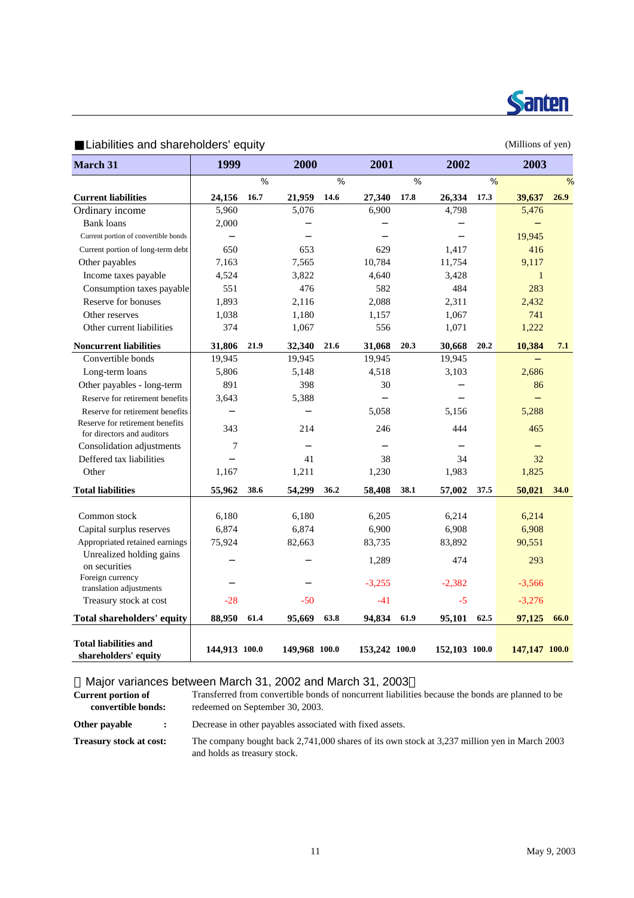

| Liabilities and shareholders equity               |                |      |               |      |               |      |               |      | (Millions of yen) |      |
|---------------------------------------------------|----------------|------|---------------|------|---------------|------|---------------|------|-------------------|------|
| March 31                                          | 1999           |      | 2000          |      | 2001          |      | 2002          |      | 2003              |      |
|                                                   |                | $\%$ |               | $\%$ |               | $\%$ |               | %    |                   | $\%$ |
| <b>Current liabilities</b>                        | 24,156         | 16.7 | 21,959        | 14.6 | 27,340        | 17.8 | 26,334        | 17.3 | 39,637            | 26.9 |
| Ordinary income                                   | 5,960          |      | 5,076         |      | 6,900         |      | 4,798         |      | 5,476             |      |
| <b>Bank loans</b>                                 | 2,000          |      |               |      |               |      |               |      |                   |      |
| Current portion of convertible bonds              |                |      |               |      |               |      |               |      | 19,945            |      |
| Current portion of long-term debt                 | 650            |      | 653           |      | 629           |      | 1.417         |      | 416               |      |
| Other payables                                    | 7,163          |      | 7,565         |      | 10,784        |      | 11,754        |      | 9,117             |      |
| Income taxes payable                              | 4,524          |      | 3,822         |      | 4,640         |      | 3,428         |      | 1                 |      |
| Consumption taxes payable                         | 551            |      | 476           |      | 582           |      | 484           |      | 283               |      |
| Reserve for bonuses                               | 1,893          |      | 2,116         |      | 2,088         |      | 2,311         |      | 2,432             |      |
| Other reserves                                    | 1,038          |      | 1,180         |      | 1,157         |      | 1,067         |      | 741               |      |
| Other current liabilities                         | 374            |      | 1,067         |      | 556           |      | 1,071         |      | 1,222             |      |
| <b>Noncurrent liabilities</b>                     | 31,806         | 21.9 | 32,340        | 21.6 | 31,068        | 20.3 | 30,668        | 20.2 | 10,384            | 7.1  |
| Convertible bonds                                 | 19,945         |      | 19,945        |      | 19,945        |      | 19,945        |      |                   |      |
| Long-term loans                                   | 5,806          |      | 5,148         |      | 4,518         |      | 3,103         |      | 2,686             |      |
| Other payables - long-term                        | 891            |      | 398           |      | 30            |      |               |      | 86                |      |
| Reserve for retirement benefits                   | 3,643          |      | 5,388         |      |               |      |               |      |                   |      |
| Reserve for retirement benefits                   |                |      |               |      | 5,058         |      | 5,156         |      | 5,288             |      |
| Reserve for retirement benefits                   | 343            |      | 214           |      | 246           |      | 444           |      | 465               |      |
| for directors and auditors                        |                |      |               |      |               |      |               |      |                   |      |
| Consolidation adjustments                         | $\overline{7}$ |      |               |      |               |      |               |      |                   |      |
| Deffered tax liabilities                          |                |      | 41            |      | 38            |      | 34            |      | 32                |      |
| Other                                             | 1,167          |      | 1,211         |      | 1,230         |      | 1,983         |      | 1,825             |      |
| <b>Total liabilities</b>                          | 55,962         | 38.6 | 54,299        | 36.2 | 58,408        | 38.1 | 57,002        | 37.5 | 50,021            | 34.0 |
| Common stock                                      | 6,180          |      | 6,180         |      | 6,205         |      | 6,214         |      | 6,214             |      |
| Capital surplus reserves                          | 6,874          |      | 6,874         |      | 6,900         |      | 6,908         |      | 6,908             |      |
| Appropriated retained earnings                    | 75,924         |      | 82,663        |      | 83,735        |      | 83,892        |      | 90,551            |      |
| Unrealized holding gains                          |                |      |               |      |               |      |               |      |                   |      |
| on securities                                     |                |      |               |      | 1,289         |      | 474           |      | 293               |      |
| Foreign currency                                  |                |      |               |      | $-3,255$      |      | $-2,382$      |      | $-3,566$          |      |
| translation adjustments<br>Treasury stock at cost | $-28$          |      | $-50$         |      | $-41$         |      | $-5$          |      | $-3,276$          |      |
| <b>Total shareholders' equity</b>                 | 88.950         | 61.4 | 95.669        | 63.8 | 94,834        | 61.9 | 95,101        | 62.5 | 97,125            | 66.0 |
|                                                   |                |      |               |      |               |      |               |      |                   |      |
| Total liabilities and<br>shareholders' equity     | 144,913 100.0  |      | 149,968 100.0 |      | 153,242 100.0 |      | 152,103 100.0 |      | 147,147 100.0     |      |

 $\mathbf{L}$  iobilities and shareholders' equity  $\mathbf{L}$ 

### Major variances between March 31, 2002 and March 31, 2003

| <b>Current portion of</b> | Transferred from convertible bonds of noncurrent liabilities because the bonds are planned to be |
|---------------------------|--------------------------------------------------------------------------------------------------|
| convertible bonds:        | redeemed on September 30, 2003.                                                                  |

**Other payable :** Decrease in other payables associated with fixed assets.

**Treasury stock at cost:** The company bought back 2,741,000 shares of its own stock at 3,237 million yen in March 2003 and holds as treasury stock.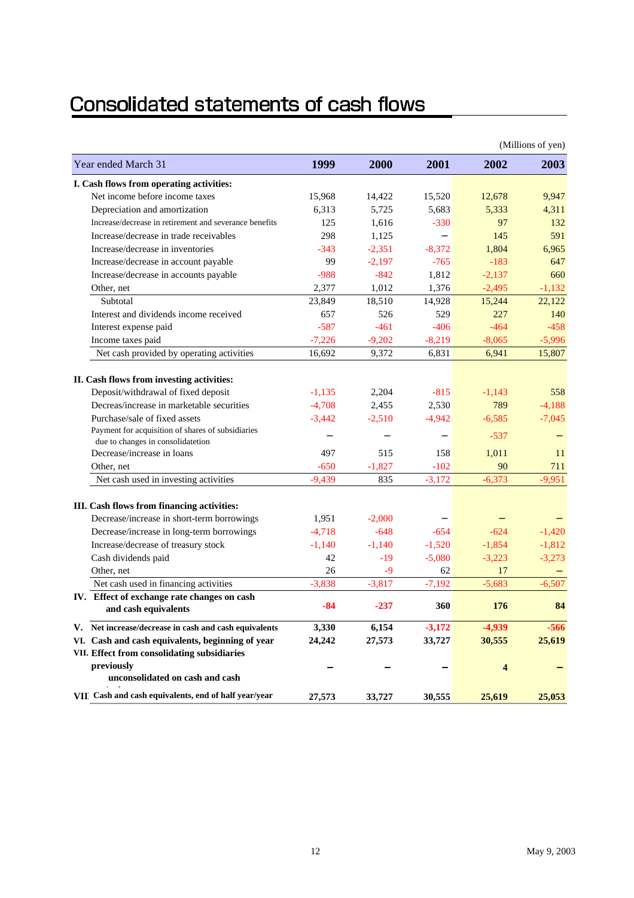# Consolidated statements of cash flows

|                                                        |          |          |          |          | (Millions of yen) |
|--------------------------------------------------------|----------|----------|----------|----------|-------------------|
| Year ended March 31                                    | 1999     | 2000     | 2001     | 2002     | 2003              |
| I. Cash flows from operating activities:               |          |          |          |          |                   |
| Net income before income taxes                         | 15,968   | 14,422   | 15,520   | 12,678   | 9,947             |
| Depreciation and amortization                          | 6,313    | 5,725    | 5,683    | 5,333    | 4,311             |
| Increase/decrease in retirement and severance benefits | 125      | 1,616    | $-330$   | 97       | 132               |
| Increase/decrease in trade receivables                 | 298      | 1,125    |          | 145      | 591               |
| Increase/decrease in inventories                       | $-343$   | $-2,351$ | $-8,372$ | 1,804    | 6,965             |
| Increase/decrease in account payable                   | 99       | $-2,197$ | $-765$   | $-183$   | 647               |
| Increase/decrease in accounts payable                  | $-988$   | $-842$   | 1,812    | $-2.137$ | 660               |
| Other, net                                             | 2,377    | 1,012    | 1,376    | $-2,495$ | $-1,132$          |
| Subtotal                                               | 23,849   | 18,510   | 14,928   | 15,244   | 22,122            |
| Interest and dividends income received                 | 657      | 526      | 529      | 227      | 140               |
| Interest expense paid                                  | $-587$   | $-461$   | $-406$   | $-464$   | $-458$            |
| Income taxes paid                                      | $-7,226$ | $-9,202$ | $-8,219$ | $-8,065$ | $-5,996$          |
| Net cash provided by operating activities              | 16,692   | 9,372    | 6,831    | 6,941    | 15,807            |
| II. Cash flows from investing activities:              |          |          |          |          |                   |
| Deposit/withdrawal of fixed deposit                    | $-1,135$ | 2,204    | $-815$   | $-1.143$ | 558               |
| Decreas/increase in marketable securities              | $-4,708$ | 2,455    | 2,530    | 789      | $-4,188$          |
| Purchase/sale of fixed assets                          | $-3,442$ | $-2,510$ | $-4,942$ | $-6,585$ | $-7,045$          |
| Payment for acquisition of shares of subsidiaries      |          |          |          |          |                   |
| due to changes in consolidatetion                      |          |          |          | $-537$   |                   |
| Decrease/increase in loans                             | 497      | 515      | 158      | 1,011    | 11                |
| Other, net                                             | $-650$   | $-1,827$ | $-102$   | 90       | 711               |
| Net cash used in investing activities                  | $-9,439$ | 835      | $-3,172$ | $-6,373$ | $-9,951$          |
| III. Cash flows from financing activities:             |          |          |          |          |                   |
| Decrease/increase in short-term borrowings             | 1,951    | $-2,000$ |          |          |                   |
| Decrease/increase in long-term borrowings              | $-4,718$ | $-648$   | $-654$   | $-624$   | $-1,420$          |
| Increase/decrease of treasury stock                    | $-1,140$ | $-1,140$ | $-1,520$ | $-1,854$ | $-1,812$          |
| Cash dividends paid                                    | 42       | $-19$    | $-5,080$ | $-3,223$ | $-3,273$          |
| Other, net                                             | 26       | $-9$     | 62       | 17       |                   |
| Net cash used in financing activities                  | $-3,838$ | $-3,817$ | $-7,192$ | $-5,683$ | $-6,507$          |
| IV. Effect of exchange rate changes on cash            |          |          |          |          |                   |
| and cash equivalents                                   | $-84$    | $-237$   | 360      | 176      | 84                |
| V. Net increase/decrease in cash and cash equivalents  | 3,330    | 6,154    | $-3,172$ | $-4,939$ | $-566$            |
| VI. Cash and cash equivalents, beginning of year       | 24,242   | 27,573   | 33,727   | 30,555   | 25,619            |
| VII. Effect from consolidating subsidiaries            |          |          |          |          |                   |
| previously<br>unconsolidated on cash and cash          |          |          |          | 4        |                   |
| VIII Cash and cash equivalents, end of half year/year  | 27,573   | 33,727   | 30,555   | 25,619   | 25,053            |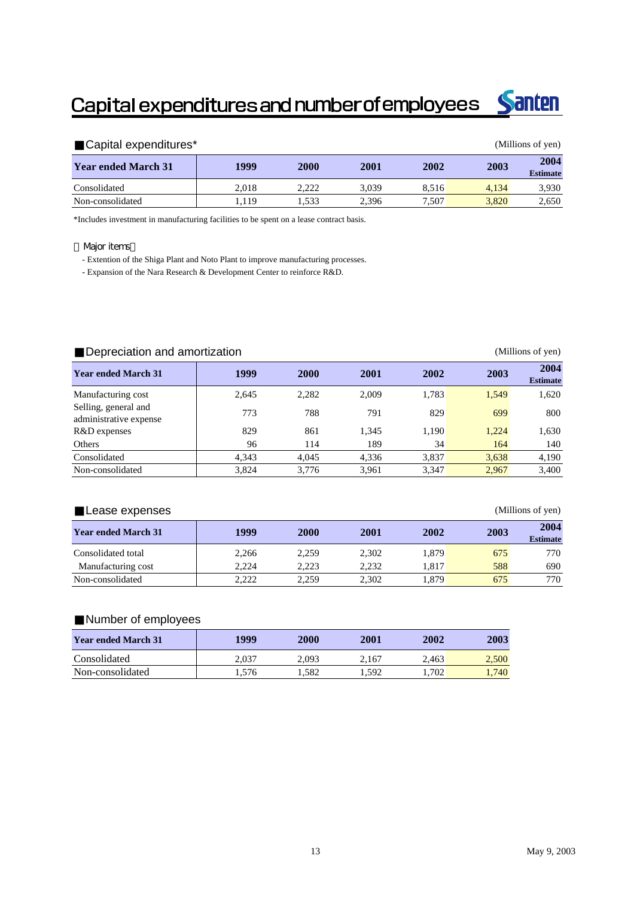# Capital expenditures and number of employees



| Capital expenditures*<br>(Millions of yen) |       |       |       |       |       |                         |  |  |
|--------------------------------------------|-------|-------|-------|-------|-------|-------------------------|--|--|
| <b>Year ended March 31</b>                 | 1999  | 2000  | 2001  | 2002  | 2003  | 2004<br><b>Estimate</b> |  |  |
| Consolidated                               | 2.018 | 2.222 | 3.039 | 8.516 | 4.134 | 3,930                   |  |  |
| Non-consolidated                           | .119  | .533  | 2.396 | 7,507 | 3.820 | 2,650                   |  |  |

\*Includes investment in manufacturing facilities to be spent on a lease contract basis.

#### Major items

- Extention of the Shiga Plant and Noto Plant to improve manufacturing processes.

- Expansion of the Nara Research & Development Center to reinforce R&D.

#### Depreciation and amortization (Millions of yen) **Year ended March 31 <sup>1999</sup> <sup>2000</sup> <sup>2001</sup> <sup>2002</sup> <sup>2003</sup> <sup>2004</sup> Estimate** Manufacturing cost 1.620 2,645 2,282 2,009 1,783 1,549 1,620 Selling, general and administrative expense 1773 788 791 829 699 800 R&D expenses 829 861 1,345 1,190 1,224 1,630 Others 140 140 164 140 Consolidated 4,343 4,045 4,336 3,837 3,638 4,190 Non-consolidated 3,824 3,776 3,961 3,347 2,967 3,400

| Lease expenses             |                     |       |       |       |      | (Millions of yen)       |
|----------------------------|---------------------|-------|-------|-------|------|-------------------------|
| <b>Year ended March 31</b> | 1999<br><b>2000</b> |       | 2001  | 2002  | 2003 | 2004<br><b>Estimate</b> |
| Consolidated total         | 2.266               | 2.259 | 2.302 | 1.879 | 675  | 770                     |
| Manufacturing cost         | 2.224               | 2,223 | 2.232 | 1.817 | 588  | 690                     |
| Non-consolidated           | 2.222               | 2.259 | 2.302 | 1.879 | 675  | 770                     |

#### Number of employees

| <b>Year ended March 31</b> | 1999   | 2000  | 2001  | 2002  | 2003  |
|----------------------------|--------|-------|-------|-------|-------|
| Consolidated               | 2.037  | 2.093 | 2.167 | 2.463 | 2,500 |
| Non-consolidated           | . .576 | l.582 | 1.592 | .702  | 1.740 |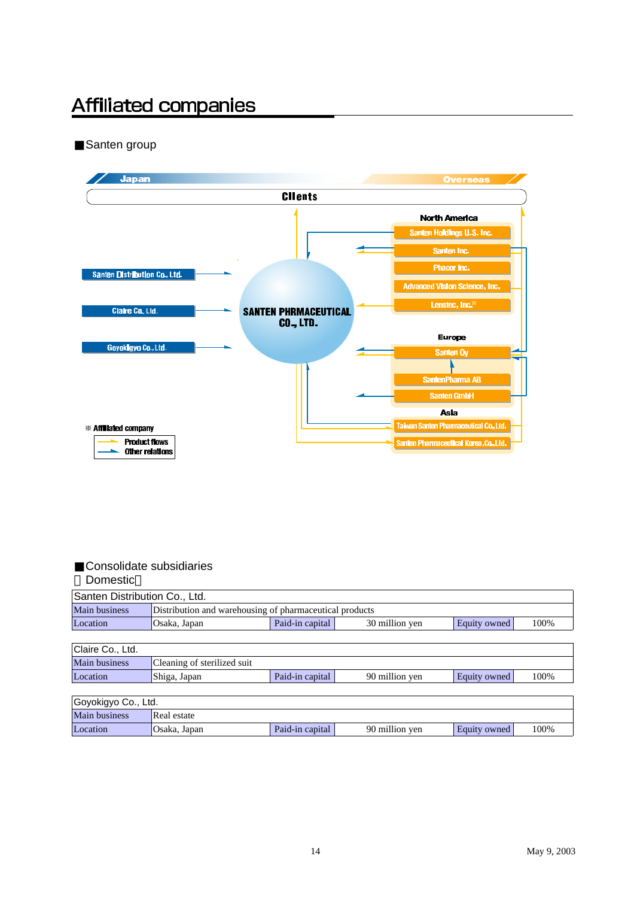# **Affiliated companies**

Santen group



#### Consolidate subsidiaries Domestic

| Santen Distribution Co., Ltd. |                                                         |                                                           |                |              |      |  |  |  |  |  |
|-------------------------------|---------------------------------------------------------|-----------------------------------------------------------|----------------|--------------|------|--|--|--|--|--|
| Main business                 | Distribution and warehousing of pharmaceutical products |                                                           |                |              |      |  |  |  |  |  |
| Location                      | Osaka, Japan                                            | Paid-in capital<br>Equity owned<br>30 million yen<br>100% |                |              |      |  |  |  |  |  |
|                               |                                                         |                                                           |                |              |      |  |  |  |  |  |
| Claire Co., Ltd.              |                                                         |                                                           |                |              |      |  |  |  |  |  |
| <b>Main business</b>          | Cleaning of sterilized suit                             |                                                           |                |              |      |  |  |  |  |  |
| Location                      | Shiga, Japan                                            | Paid-in capital                                           | 90 million yen | Equity owned | 100% |  |  |  |  |  |
|                               |                                                         |                                                           |                |              |      |  |  |  |  |  |
| Goyokigyo Co., Ltd.           |                                                         |                                                           |                |              |      |  |  |  |  |  |
| <b>Main business</b>          | Real estate                                             |                                                           |                |              |      |  |  |  |  |  |
| Location                      | Osaka, Japan                                            | Paid-in capital                                           | 90 million yen | Equity owned | 100% |  |  |  |  |  |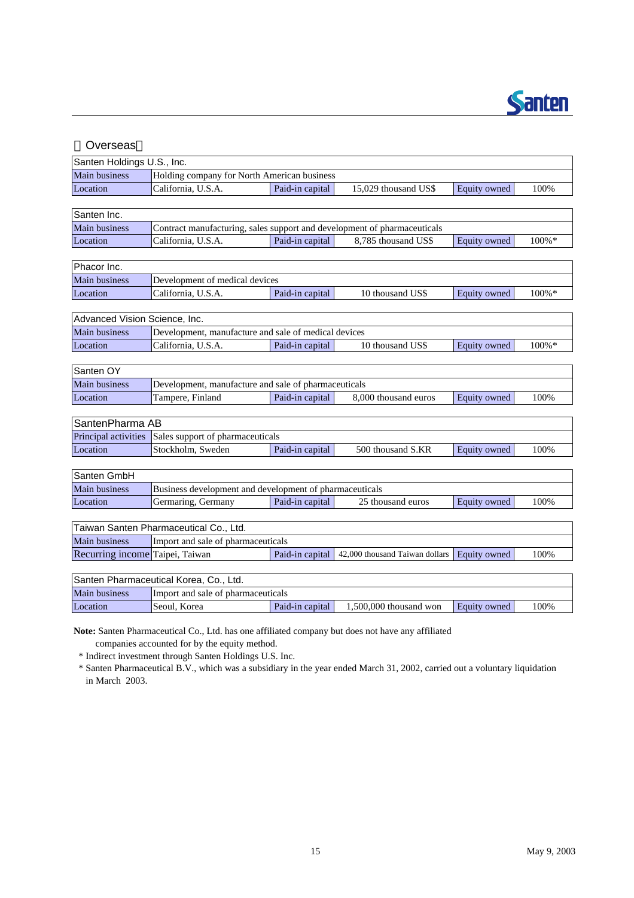

| Overseas                        |                                                         |                                                                          |                                |                     |           |  |  |  |  |  |  |  |
|---------------------------------|---------------------------------------------------------|--------------------------------------------------------------------------|--------------------------------|---------------------|-----------|--|--|--|--|--|--|--|
| Santen Holdings U.S., Inc.      |                                                         |                                                                          |                                |                     |           |  |  |  |  |  |  |  |
| Main business                   | Holding company for North American business             |                                                                          |                                |                     |           |  |  |  |  |  |  |  |
| Location                        | California, U.S.A.                                      | Paid-in capital                                                          | 15,029 thousand US\$           | Equity owned        | 100%      |  |  |  |  |  |  |  |
|                                 |                                                         |                                                                          |                                |                     |           |  |  |  |  |  |  |  |
| Santen Inc.                     |                                                         |                                                                          |                                |                     |           |  |  |  |  |  |  |  |
| Main business                   |                                                         | Contract manufacturing, sales support and development of pharmaceuticals |                                |                     |           |  |  |  |  |  |  |  |
| Location                        | California, U.S.A.                                      | Paid-in capital                                                          | 8,785 thousand US\$            | Equity owned        | 100%*     |  |  |  |  |  |  |  |
|                                 |                                                         |                                                                          |                                |                     |           |  |  |  |  |  |  |  |
| Phacor Inc.                     |                                                         |                                                                          |                                |                     |           |  |  |  |  |  |  |  |
| Main business                   | Development of medical devices                          |                                                                          |                                |                     |           |  |  |  |  |  |  |  |
| Location                        | California, U.S.A.                                      | Paid-in capital                                                          | 10 thousand US\$               | Equity owned        | $100\%$ * |  |  |  |  |  |  |  |
|                                 |                                                         |                                                                          |                                |                     |           |  |  |  |  |  |  |  |
| Advanced Vision Science, Inc.   |                                                         |                                                                          |                                |                     |           |  |  |  |  |  |  |  |
| Main business                   | Development, manufacture and sale of medical devices    |                                                                          |                                |                     |           |  |  |  |  |  |  |  |
| Location                        | California, U.S.A.                                      | Paid-in capital                                                          | 10 thousand US\$               | Equity owned        | 100%*     |  |  |  |  |  |  |  |
|                                 |                                                         |                                                                          |                                |                     |           |  |  |  |  |  |  |  |
| Santen OY                       |                                                         |                                                                          |                                |                     |           |  |  |  |  |  |  |  |
| Main business                   | Development, manufacture and sale of pharmaceuticals    |                                                                          |                                |                     |           |  |  |  |  |  |  |  |
| Location                        | Tampere, Finland                                        | Paid-in capital                                                          | 8,000 thousand euros           | Equity owned        | 100%      |  |  |  |  |  |  |  |
|                                 |                                                         |                                                                          |                                |                     |           |  |  |  |  |  |  |  |
| SantenPharma AB                 |                                                         |                                                                          |                                |                     |           |  |  |  |  |  |  |  |
| Principal activities            | Sales support of pharmaceuticals<br>Stockholm, Sweden   |                                                                          | 500 thousand S.KR              |                     | 100%      |  |  |  |  |  |  |  |
| Location                        |                                                         | Paid-in capital                                                          |                                | Equity owned        |           |  |  |  |  |  |  |  |
| Santen GmbH                     |                                                         |                                                                          |                                |                     |           |  |  |  |  |  |  |  |
| <b>Main business</b>            | Business development and development of pharmaceuticals |                                                                          |                                |                     |           |  |  |  |  |  |  |  |
| Location                        | Germaring, Germany                                      | Paid-in capital                                                          | 25 thousand euros              | Equity owned        | 100%      |  |  |  |  |  |  |  |
|                                 |                                                         |                                                                          |                                |                     |           |  |  |  |  |  |  |  |
|                                 | Taiwan Santen Pharmaceutical Co., Ltd.                  |                                                                          |                                |                     |           |  |  |  |  |  |  |  |
| <b>Main business</b>            | Import and sale of pharmaceuticals                      |                                                                          |                                |                     |           |  |  |  |  |  |  |  |
| Recurring income Taipei, Taiwan |                                                         | Paid-in capital                                                          | 42,000 thousand Taiwan dollars | Equity owned        | 100%      |  |  |  |  |  |  |  |
|                                 |                                                         |                                                                          |                                |                     |           |  |  |  |  |  |  |  |
|                                 | Santen Pharmaceutical Korea, Co., Ltd.                  |                                                                          |                                |                     |           |  |  |  |  |  |  |  |
| Main business                   | Import and sale of pharmaceuticals                      |                                                                          |                                |                     |           |  |  |  |  |  |  |  |
| Location                        | Seoul, Korea                                            | Paid-in capital                                                          | 1,500,000 thousand won         | <b>Equity owned</b> | 100%      |  |  |  |  |  |  |  |
|                                 |                                                         |                                                                          |                                |                     |           |  |  |  |  |  |  |  |

**Note:** Santen Pharmaceutical Co., Ltd. has one affiliated company but does not have any affiliated companies accounted for by the equity method.

\* Indirect investment through Santen Holdings U.S. Inc.

 \* Santen Pharmaceutical B.V., which was a subsidiary in the year ended March 31, 2002, carried out a voluntary liquidation in March 2003.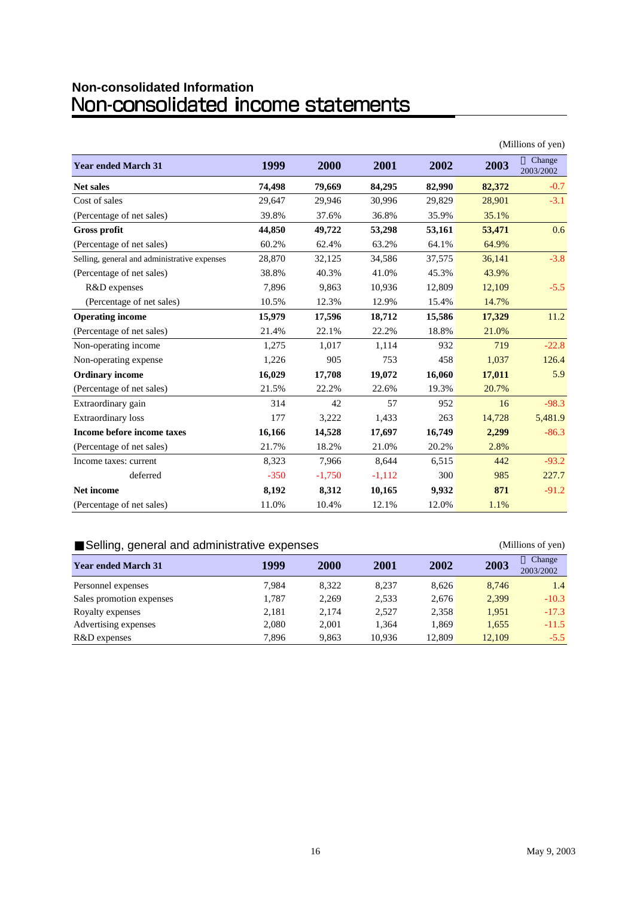# **Non-consolidated Information<br>NON-CONSOlidated income statements**

|                                              |        |          |          | (Millions of yen) |        |                     |  |
|----------------------------------------------|--------|----------|----------|-------------------|--------|---------------------|--|
| <b>Year ended March 31</b>                   | 1999   | 2000     | 2001     | 2002              | 2003   | Change<br>2003/2002 |  |
| <b>Net sales</b>                             | 74,498 | 79,669   | 84,295   | 82,990            | 82,372 | $-0.7$              |  |
| Cost of sales                                | 29,647 | 29,946   | 30,996   | 29,829            | 28,901 | $-3.1$              |  |
| (Percentage of net sales)                    | 39.8%  | 37.6%    | 36.8%    | 35.9%             | 35.1%  |                     |  |
| <b>Gross profit</b>                          | 44,850 | 49,722   | 53,298   | 53,161            | 53,471 | 0.6                 |  |
| (Percentage of net sales)                    | 60.2%  | 62.4%    | 63.2%    | 64.1%             | 64.9%  |                     |  |
| Selling, general and administrative expenses | 28,870 | 32,125   | 34,586   | 37,575            | 36,141 | $-3.8$              |  |
| (Percentage of net sales)                    | 38.8%  | 40.3%    | 41.0%    | 45.3%             | 43.9%  |                     |  |
| R&D expenses                                 | 7,896  | 9,863    | 10,936   | 12,809            | 12,109 | $-5.5$              |  |
| (Percentage of net sales)                    | 10.5%  | 12.3%    | 12.9%    | 15.4%             | 14.7%  |                     |  |
| <b>Operating income</b>                      | 15,979 | 17,596   | 18,712   | 15,586            | 17,329 | 11.2                |  |
| (Percentage of net sales)                    | 21.4%  | 22.1%    | 22.2%    | 18.8%             | 21.0%  |                     |  |
| Non-operating income                         | 1,275  | 1,017    | 1,114    | 932               | 719    | $-22.8$             |  |
| Non-operating expense                        | 1,226  | 905      | 753      | 458               | 1,037  | 126.4               |  |
| <b>Ordinary income</b>                       | 16,029 | 17,708   | 19,072   | 16,060            | 17,011 | 5.9                 |  |
| (Percentage of net sales)                    | 21.5%  | 22.2%    | 22.6%    | 19.3%             | 20.7%  |                     |  |
| Extraordinary gain                           | 314    | 42       | 57       | 952               | 16     | $-98.3$             |  |
| Extraordinary loss                           | 177    | 3,222    | 1,433    | 263               | 14,728 | 5,481.9             |  |
| Income before income taxes                   | 16,166 | 14,528   | 17,697   | 16,749            | 2,299  | $-86.3$             |  |
| (Percentage of net sales)                    | 21.7%  | 18.2%    | 21.0%    | 20.2%             | 2.8%   |                     |  |
| Income taxes: current                        | 8,323  | 7,966    | 8,644    | 6,515             | 442    | $-93.2$             |  |
| deferred                                     | $-350$ | $-1,750$ | $-1,112$ | 300               | 985    | 227.7               |  |
| Net income                                   | 8,192  | 8,312    | 10,165   | 9,932             | 871    | $-91.2$             |  |
| (Percentage of net sales)                    | 11.0%  | 10.4%    | 12.1%    | 12.0%             | 1.1%   |                     |  |

#### Selling, general and administrative expenses (Millions of yen)

#### **Year ended March 31 1999 2000 2001 2002 2003** Change 2003/2002 Personnel expenses 7,984 8,322 8,237 8,626 8,746 1.4 Sales promotion expenses 1,787 2,269 2,533 2,676 2,399 -10.3 Royalty expenses 2,181 2,174 2,527 2,358 1,951 -17.3 Advertising expenses 2,080 2,001 1,364 1,869 1,655 -11.5 R&D expenses 2,896 9,863 10,936 12,809 12,109 12,109 15.5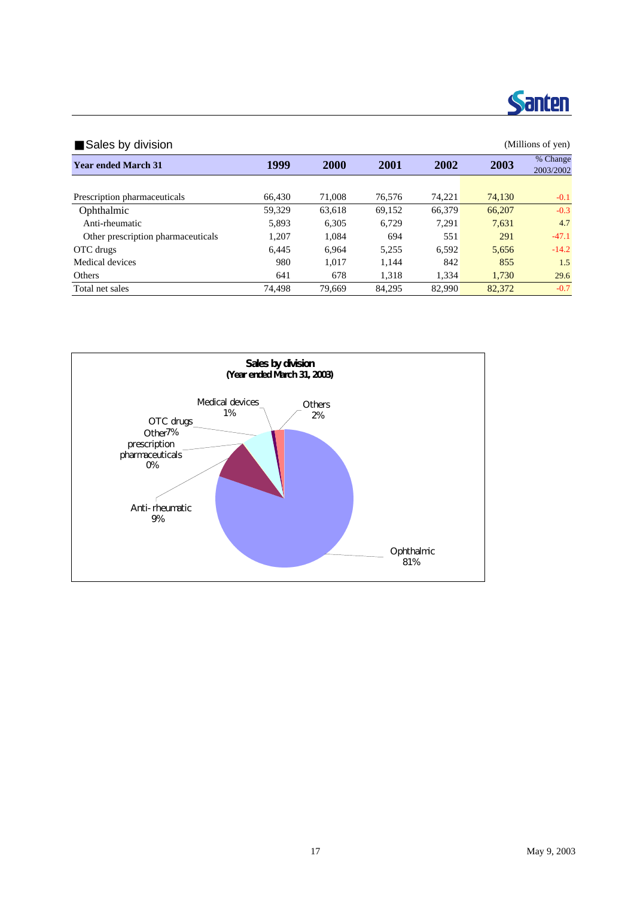

| Sales by division                  |        | (Millions of yen) |        |        |        |                       |
|------------------------------------|--------|-------------------|--------|--------|--------|-----------------------|
| <b>Year ended March 31</b>         | 1999   | <b>2000</b>       | 2001   | 2002   | 2003   | % Change<br>2003/2002 |
|                                    |        |                   |        |        |        |                       |
| Prescription pharmaceuticals       | 66.430 | 71,008            | 76.576 | 74.221 | 74.130 | $-0.1$                |
| Ophthalmic                         | 59.329 | 63.618            | 69,152 | 66,379 | 66,207 | $-0.3$                |
| Anti-rheumatic                     | 5.893  | 6.305             | 6.729  | 7.291  | 7.631  | 4.7                   |
| Other prescription pharmaceuticals | 1,207  | 1.084             | 694    | 551    | 291    | $-47.1$               |
| OTC drugs                          | 6.445  | 6.964             | 5,255  | 6.592  | 5,656  | $-14.2$               |
| Medical devices                    | 980    | 1.017             | 1.144  | 842    | 855    | 1.5                   |
| Others                             | 641    | 678               | 1.318  | 1.334  | 1.730  | 29.6                  |
| Total net sales                    | 74.498 | 79.669            | 84.295 | 82,990 | 82,372 | $-0.7$                |

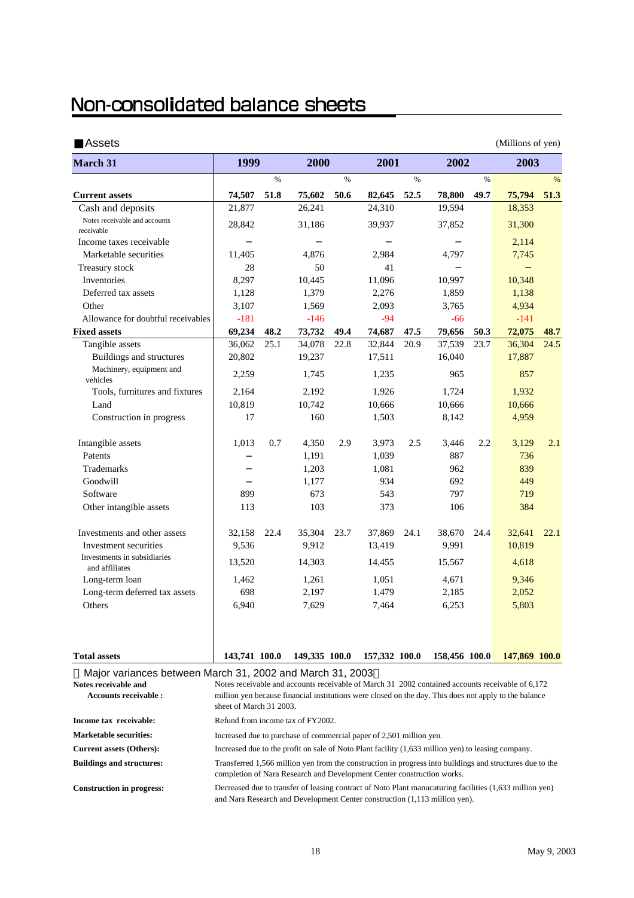# Non-consolidated balance sheets

| Assets                                                    |               |               | (Millions of yen) |      |               |               |               |               |               |               |
|-----------------------------------------------------------|---------------|---------------|-------------------|------|---------------|---------------|---------------|---------------|---------------|---------------|
| <b>March 31</b>                                           | 1999          |               | 2000              |      | 2001          |               | 2002          |               | 2003          |               |
|                                                           |               | $\frac{9}{6}$ |                   | $\%$ |               | $\frac{9}{6}$ |               | $\frac{0}{0}$ |               | $\frac{0}{0}$ |
| <b>Current assets</b>                                     | 74,507        | 51.8          | 75,602            | 50.6 | 82,645        | 52.5          | 78,800        | 49.7          | 75,794        | 51.3          |
| Cash and deposits                                         | 21,877        |               | 26,241            |      | 24,310        |               | 19,594        |               | 18,353        |               |
| Notes receivable and accounts<br>receivable               | 28,842        |               | 31,186            |      | 39,937        |               | 37,852        |               | 31,300        |               |
| Income taxes receivable                                   |               |               |                   |      |               |               |               |               | 2,114         |               |
| Marketable securities                                     | 11,405        |               | 4,876             |      | 2,984         |               | 4,797         |               | 7,745         |               |
| Treasury stock                                            | 28            |               | 50                |      | 41            |               |               |               |               |               |
| Inventories                                               | 8,297         |               | 10,445            |      | 11,096        |               | 10,997        |               | 10,348        |               |
| Deferred tax assets                                       | 1,128         |               | 1,379             |      | 2,276         |               | 1,859         |               | 1,138         |               |
| Other                                                     | 3,107         |               | 1,569             |      | 2,093         |               | 3,765         |               | 4,934         |               |
| Allowance for doubtful receivables                        | $-181$        |               | $-146$            |      | $-94$         |               | $-66$         |               | $-141$        |               |
| <b>Fixed assets</b>                                       | 69,234        | 48.2          | 73,732            | 49.4 | 74,687        | 47.5          | 79,656        | 50.3          | 72,075        | 48.7          |
| Tangible assets                                           | 36,062        | 25.1          | 34,078            | 22.8 | 32,844        | 20.9          | 37,539        | 23.7          | 36,304        | 24.5          |
| Buildings and structures                                  | 20,802        |               | 19,237            |      | 17,511        |               | 16,040        |               | 17,887        |               |
| Machinery, equipment and<br>vehicles                      | 2,259         |               | 1,745             |      | 1,235         |               | 965           |               | 857           |               |
| Tools, furnitures and fixtures                            | 2,164         |               | 2,192             |      | 1,926         |               | 1,724         |               | 1,932         |               |
| Land                                                      | 10,819        |               | 10,742            |      | 10,666        |               | 10,666        |               | 10,666        |               |
| Construction in progress                                  | 17            |               | 160               |      | 1,503         |               | 8,142         |               | 4,959         |               |
| Intangible assets                                         | 1,013         | 0.7           | 4,350             | 2.9  | 3,973         | 2.5           | 3,446         | 2.2           | 3,129         | 2.1           |
| Patents                                                   |               |               | 1,191             |      | 1,039         |               | 887           |               | 736           |               |
| <b>Trademarks</b>                                         |               |               | 1,203             |      | 1,081         |               | 962           |               | 839           |               |
| Goodwill                                                  |               |               | 1,177             |      | 934           |               | 692           |               | 449           |               |
| Software                                                  | 899           |               | 673               |      | 543           |               | 797           |               | 719           |               |
| Other intangible assets                                   | 113           |               | 103               |      | 373           |               | 106           |               | 384           |               |
| Investments and other assets                              | 32,158        | 22.4          | 35,304            | 23.7 | 37,869        | 24.1          | 38,670        | 24.4          | 32,641        | 22.1          |
| Investment securities                                     | 9,536         |               | 9,912             |      | 13,419        |               | 9,991         |               | 10,819        |               |
| Investments in subsidiaries<br>and affiliates             | 13,520        |               | 14,303            |      | 14,455        |               | 15,567        |               | 4,618         |               |
| Long-term loan                                            | 1,462         |               | 1,261             |      | 1,051         |               | 4,671         |               | 9,346         |               |
| Long-term deferred tax assets                             | 698           |               | 2,197             |      | 1,479         |               | 2,185         |               | 2,052         |               |
| Others                                                    | 6,940         |               | 7,629             |      | 7,464         |               | 6,253         |               | 5,803         |               |
| <b>Total assets</b>                                       | 143,741 100.0 |               | 149,335 100.0     |      | 157,332 100.0 |               | 158,456 100.0 |               | 147,869 100.0 |               |
| Major variances between March 31, 2002 and March 31, 2003 |               |               |                   |      |               |               |               |               |               |               |

|                                                     | $11000$ . The contract of the contract of $\sim$ 1. Even and the material of $\sim$ 1. Even                                                                                                                                          |
|-----------------------------------------------------|--------------------------------------------------------------------------------------------------------------------------------------------------------------------------------------------------------------------------------------|
| Notes receivable and<br><b>Accounts receivable:</b> | Notes receivable and accounts receivable of March 31 2002 contained accounts receivable of 6,172<br>million yen because financial institutions were closed on the day. This does not apply to the balance<br>sheet of March 31 2003. |
| Income tax receivable:                              | Refund from income tax of FY2002.                                                                                                                                                                                                    |
| <b>Marketable securities:</b>                       | Increased due to purchase of commercial paper of 2,501 million yen.                                                                                                                                                                  |
| <b>Current assets (Others):</b>                     | Increased due to the profit on sale of Noto Plant facility (1.633 million yen) to leasing company.                                                                                                                                   |
| <b>Buildings and structures:</b>                    | Transferred 1,566 million yen from the construction in progress into buildings and structures due to the<br>completion of Nara Research and Development Center construction works.                                                   |
| <b>Construction in progress:</b>                    | Decreased due to transfer of leasing contract of Noto Plant manucaturing facilities (1,633 million yen)<br>and Nara Research and Development Center construction (1,113 million yen).                                                |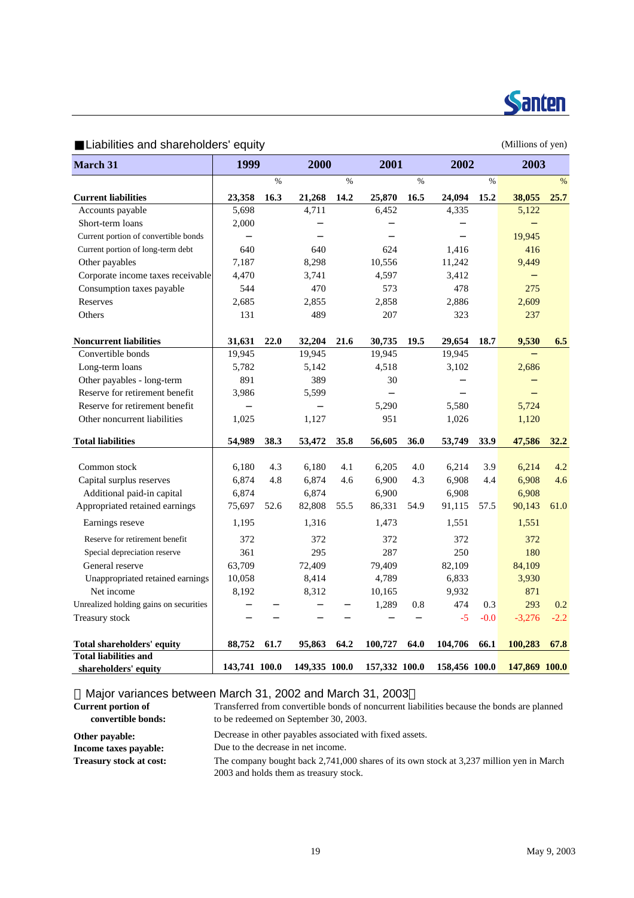

Liabilities and shareholders' equity example of the state of the Millions of yen)

| <b>March 31</b>                        | 1999          |      | 2000          |      | 2001          |      |               | 2002   |               | 2003   |
|----------------------------------------|---------------|------|---------------|------|---------------|------|---------------|--------|---------------|--------|
|                                        |               | $\%$ |               | $\%$ |               | $\%$ |               | $\%$   |               | %      |
| <b>Current liabilities</b>             | 23,358        | 16.3 | 21,268        | 14.2 | 25,870        | 16.5 | 24,094        | 15.2   | 38,055        | 25.7   |
| Accounts payable                       | 5,698         |      | 4,711         |      | 6,452         |      | 4,335         |        | 5,122         |        |
| Short-term loans                       | 2,000         |      |               |      |               |      |               |        |               |        |
| Current portion of convertible bonds   |               |      |               |      |               |      |               |        | 19,945        |        |
| Current portion of long-term debt      | 640           |      | 640           |      | 624           |      | 1,416         |        | 416           |        |
| Other payables                         | 7,187         |      | 8,298         |      | 10,556        |      | 11,242        |        | 9,449         |        |
| Corporate income taxes receivable      | 4,470         |      | 3,741         |      | 4,597         |      | 3,412         |        |               |        |
| Consumption taxes payable              | 544           |      | 470           |      | 573           |      | 478           |        | 275           |        |
| Reserves                               | 2,685         |      | 2,855         |      | 2,858         |      | 2,886         |        | 2,609         |        |
| Others                                 | 131           |      | 489           |      | 207           |      | 323           |        | 237           |        |
| <b>Noncurrent liabilities</b>          | 31,631        | 22.0 | 32,204        | 21.6 | 30,735        | 19.5 | 29,654        | 18.7   | 9,530         | 6.5    |
| Convertible bonds                      | 19,945        |      | 19,945        |      | 19,945        |      | 19,945        |        |               |        |
| Long-term loans                        | 5,782         |      | 5,142         |      | 4,518         |      | 3,102         |        | 2,686         |        |
| Other payables - long-term             | 891           |      | 389           |      | 30            |      |               |        |               |        |
| Reserve for retirement benefit         | 3,986         |      | 5,599         |      |               |      |               |        |               |        |
| Reserve for retirement benefit         |               |      |               |      | 5,290         |      | 5,580         |        | 5,724         |        |
| Other noncurrent liabilities           | 1,025         |      | 1,127         |      | 951           |      | 1,026         |        | 1,120         |        |
| <b>Total liabilities</b>               | 54,989        | 38.3 | 53,472        | 35.8 | 56,605        | 36.0 | 53,749        | 33.9   | 47,586        | 32.2   |
|                                        |               |      |               |      |               |      |               |        |               |        |
| Common stock                           | 6,180         | 4.3  | 6,180         | 4.1  | 6,205         | 4.0  | 6,214         | 3.9    | 6,214         | 4.2    |
| Capital surplus reserves               | 6,874         | 4.8  | 6,874         | 4.6  | 6,900         | 4.3  | 6,908         | 4.4    | 6,908         | 4.6    |
| Additional paid-in capital             | 6,874         |      | 6,874         |      | 6,900         |      | 6,908         |        | 6,908         |        |
| Appropriated retained earnings         | 75,697        | 52.6 | 82,808        | 55.5 | 86,331        | 54.9 | 91,115        | 57.5   | 90,143        | 61.0   |
| Earnings reseve                        | 1,195         |      | 1,316         |      | 1,473         |      | 1,551         |        | 1,551         |        |
| Reserve for retirement benefit         | 372           |      | 372           |      | 372           |      | 372           |        | 372           |        |
| Special depreciation reserve           | 361           |      | 295           |      | 287           |      | 250           |        | 180           |        |
| General reserve                        | 63,709        |      | 72,409        |      | 79,409        |      | 82,109        |        | 84,109        |        |
| Unappropriated retained earnings       | 10,058        |      | 8,414         |      | 4,789         |      | 6,833         |        | 3,930         |        |
| Net income                             | 8,192         |      | 8,312         |      | 10,165        |      | 9,932         |        | 871           |        |
| Unrealized holding gains on securities |               |      |               |      | 1,289         | 0.8  | 474           | 0.3    | 293           | 0.2    |
| Treasury stock                         |               |      |               |      |               |      | $-5$          | $-0.0$ | $-3,276$      | $-2.2$ |
| <b>Total shareholders' equity</b>      | 88,752        | 61.7 | 95,863        | 64.2 | 100,727       | 64.0 | 104,706       | 66.1   | 100,283       | 67.8   |
| <b>Total liabilities and</b>           |               |      |               |      |               |      |               |        |               |        |
| shareholders' equity                   | 143,741 100.0 |      | 149,335 100.0 |      | 157,332 100.0 |      | 158,456 100.0 |        | 147,869 100.0 |        |

Major variances between March 31, 2002 and March 31, 2003

| <b>Current portion of</b><br>convertible bonds: | Transferred from convertible bonds of noncurrent liabilities because the bonds are planned<br>to be redeemed on September 30, 2003. |
|-------------------------------------------------|-------------------------------------------------------------------------------------------------------------------------------------|
| Other payable:                                  | Decrease in other payables associated with fixed assets.                                                                            |
| Income taxes payable:                           | Due to the decrease in net income.                                                                                                  |
| <b>Treasury stock at cost:</b>                  | The company bought back 2,741,000 shares of its own stock at 3,237 million yen in March                                             |
|                                                 | 2003 and holds them as treasury stock.                                                                                              |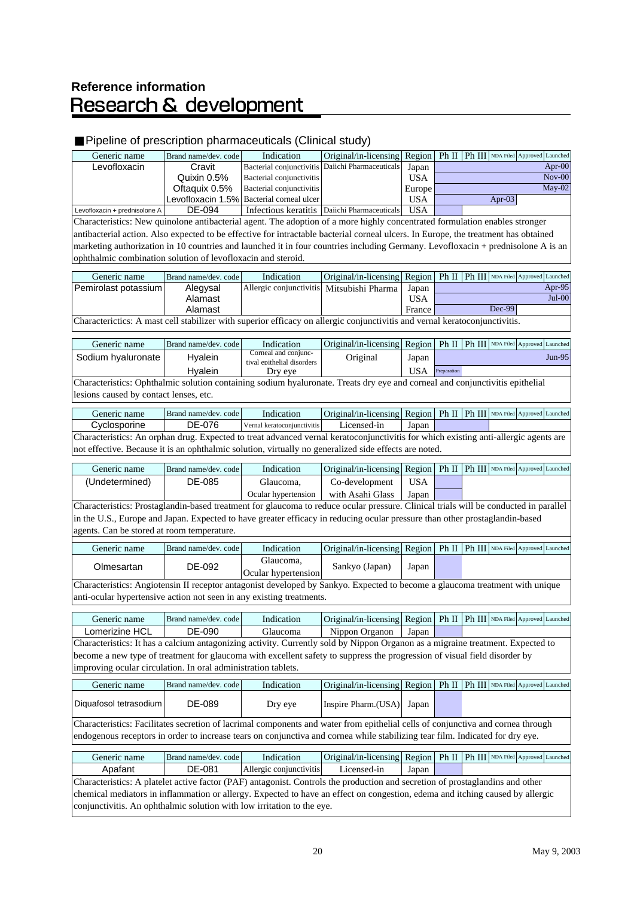# Reference information<br>Research & development

### Pipeline of prescription pharmaceuticals (Clinical study)

| Generic name                                                                                                                         | Brand name/dev. code | Indication                  | Original/in-licensing Region                                                    |            |             |                            | Ph II   Ph III   NDA Filed   Approved   Launched |                   |           |
|--------------------------------------------------------------------------------------------------------------------------------------|----------------------|-----------------------------|---------------------------------------------------------------------------------|------------|-------------|----------------------------|--------------------------------------------------|-------------------|-----------|
| Levofloxacin                                                                                                                         | Cravit               | Bacterial conjunctivitis    | Daiichi Pharmaceuticals                                                         | Japan      |             |                            |                                                  |                   | Apr- $00$ |
|                                                                                                                                      | Quixin 0.5%          | Bacterial conjunctivitis    |                                                                                 | <b>USA</b> |             |                            |                                                  |                   | $Nov-00$  |
|                                                                                                                                      | Oftaquix 0.5%        | Bacterial conjunctivitis    |                                                                                 | Europe     |             |                            |                                                  |                   | $May-02$  |
|                                                                                                                                      | Levofloxacin 1.5%    | Bacterial corneal ulcer     |                                                                                 | <b>USA</b> |             |                            | Apr-03                                           |                   |           |
| Levofloxacin + prednisolone A                                                                                                        | DE-094               |                             | Infectious keratitis   Daiichi Pharmaceuticals                                  | <b>USA</b> |             |                            |                                                  |                   |           |
| Characteristics: New quinolone antibacterial agent. The adoption of a more highly concentrated formulation enables stronger          |                      |                             |                                                                                 |            |             |                            |                                                  |                   |           |
| antibacterial action. Also expected to be effective for intractable bacterial corneal ulcers. In Europe, the treatment has obtained  |                      |                             |                                                                                 |            |             |                            |                                                  |                   |           |
| marketing authorization in 10 countries and launched it in four countries including Germany. Levofloxacin + prednisolone A is an     |                      |                             |                                                                                 |            |             |                            |                                                  |                   |           |
| ophthalmic combination solution of levofloxacin and steroid.                                                                         |                      |                             |                                                                                 |            |             |                            |                                                  |                   |           |
| Generic name                                                                                                                         | Brand name/dev. code | Indication                  | Original/in-licensing                                                           | Region     |             | Ph II   Ph III   NDA Filed |                                                  | Approved Launched |           |
| Pemirolast potassium                                                                                                                 | Alegysal             | Allergic conjunctivitis     | Mitsubishi Pharma                                                               | Japan      |             |                            |                                                  |                   | Apr-95    |
|                                                                                                                                      | Alamast              |                             |                                                                                 | <b>USA</b> |             |                            |                                                  |                   | $Jul-00$  |
|                                                                                                                                      | Alamast              |                             |                                                                                 | France     |             |                            | Dec-99                                           |                   |           |
| Characterictics: A mast cell stabilizer with superior efficacy on allergic conjunctivitis and vernal keratoconjunctivitis.           |                      |                             |                                                                                 |            |             |                            |                                                  |                   |           |
|                                                                                                                                      |                      |                             |                                                                                 |            |             |                            |                                                  |                   |           |
| Generic name                                                                                                                         | Brand name/dev. code | Indication                  | Original/in-licensing Region                                                    |            |             |                            | Ph II   Ph III   NDA Filed   Approved   Launched |                   |           |
| Sodium hyaluronate                                                                                                                   | <b>Hyalein</b>       | Corneal and conjunc-        | Original                                                                        | Japan      |             |                            |                                                  |                   | $Jun-95$  |
|                                                                                                                                      |                      | tival epithelial disorders  |                                                                                 |            |             |                            |                                                  |                   |           |
|                                                                                                                                      | <b>Hyalein</b>       | Dry eye                     |                                                                                 | <b>USA</b> | Preparation |                            |                                                  |                   |           |
| Characteristics: Ophthalmic solution containing sodium hyaluronate. Treats dry eye and corneal and conjunctivitis epithelial         |                      |                             |                                                                                 |            |             |                            |                                                  |                   |           |
| lesions caused by contact lenses, etc.                                                                                               |                      |                             |                                                                                 |            |             |                            |                                                  |                   |           |
| Generic name                                                                                                                         | Brand name/dev. code | Indication                  | Original/in-licensing   Region   Ph II   Ph III   NDA Filed   Approved Launched |            |             |                            |                                                  |                   |           |
| Cyclosporine                                                                                                                         | DE-076               | Vernal keratoconjunctivitis | Licensed-in                                                                     | Japan      |             |                            |                                                  |                   |           |
| Characteristics: An orphan drug. Expected to treat advanced vernal keratoconjunctivitis for which existing anti-allergic agents are  |                      |                             |                                                                                 |            |             |                            |                                                  |                   |           |
| not effective. Because it is an ophthalmic solution, virtually no generalized side effects are noted.                                |                      |                             |                                                                                 |            |             |                            |                                                  |                   |           |
| Generic name                                                                                                                         | Brand name/dev. code | Indication                  | Original/in-licensing Region                                                    |            |             |                            | Ph II   Ph III   NDA Filed   Approved Launched   |                   |           |
| (Undetermined)                                                                                                                       | DE-085               | Glaucoma,                   | Co-development                                                                  | <b>USA</b> |             |                            |                                                  |                   |           |
|                                                                                                                                      |                      | Ocular hypertension         | with Asahi Glass                                                                | Japan      |             |                            |                                                  |                   |           |
| Characteristics: Prostaglandin-based treatment for glaucoma to reduce ocular pressure. Clinical trials will be conducted in parallel |                      |                             |                                                                                 |            |             |                            |                                                  |                   |           |
| in the U.S., Europe and Japan. Expected to have greater efficacy in reducing ocular pressure than other prostaglandin-based          |                      |                             |                                                                                 |            |             |                            |                                                  |                   |           |
| agents. Can be stored at room temperature.                                                                                           |                      |                             |                                                                                 |            |             |                            |                                                  |                   |           |
| Generic name                                                                                                                         | Brand name/dev. code | Indication                  | Original/in-licensing   Region   Ph II   Ph III   NDA Filed   Approved Launched |            |             |                            |                                                  |                   |           |
|                                                                                                                                      |                      | Glaucoma,                   |                                                                                 |            |             |                            |                                                  |                   |           |
| Olmesartan                                                                                                                           | DE-092               | Ocular hypertension         | Sankyo (Japan)                                                                  | Japan      |             |                            |                                                  |                   |           |
| Characteristics: Angiotensin II receptor antagonist developed by Sankyo. Expected to become a glaucoma treatment with unique         |                      |                             |                                                                                 |            |             |                            |                                                  |                   |           |
| anti-ocular hypertensive action not seen in any existing treatments.                                                                 |                      |                             |                                                                                 |            |             |                            |                                                  |                   |           |
|                                                                                                                                      |                      |                             |                                                                                 |            |             |                            |                                                  |                   |           |
| Generic name                                                                                                                         | Brand name/dev. code | Indication                  | Original/in-licensing   Region   Ph II   Ph III   NDA Filed   Approved Launched |            |             |                            |                                                  |                   |           |
| Lomerizine HCL                                                                                                                       | DE-090               | Glaucoma                    | Nippon Organon                                                                  | Japan      |             |                            |                                                  |                   |           |
| Characteristics: It has a calcium antagonizing activity. Currently sold by Nippon Organon as a migraine treatment. Expected to       |                      |                             |                                                                                 |            |             |                            |                                                  |                   |           |
| become a new type of treatment for glaucoma with excellent safety to suppress the progression of visual field disorder by            |                      |                             |                                                                                 |            |             |                            |                                                  |                   |           |
| improving ocular circulation. In oral administration tablets.                                                                        |                      |                             |                                                                                 |            |             |                            |                                                  |                   |           |
|                                                                                                                                      |                      |                             |                                                                                 |            |             |                            |                                                  |                   |           |
| Generic name                                                                                                                         | Brand name/dev. code | Indication                  | Original/in-licensing Region                                                    |            |             |                            | Ph II   Ph III   NDA Filed   Approved   Launched |                   |           |
| Diquafosol tetrasodium                                                                                                               | DE-089               | Dry eye                     | Inspire Pharm.(USA)                                                             | Japan      |             |                            |                                                  |                   |           |
| Characteristics: Facilitates secretion of lacrimal components and water from epithelial cells of conjunctiva and cornea through      |                      |                             |                                                                                 |            |             |                            |                                                  |                   |           |
| endogenous receptors in order to increase tears on conjunctiva and cornea while stabilizing tear film. Indicated for dry eye.        |                      |                             |                                                                                 |            |             |                            |                                                  |                   |           |
| Generic name                                                                                                                         | Brand name/dev. code | Indication                  | Original/in-licensing Region                                                    |            |             |                            | Ph II   Ph III   NDA Filed   Approved   Launched |                   |           |
| Apafant                                                                                                                              | DE-081               | Allergic conjunctivitis     | Licensed-in                                                                     | Japan      |             |                            |                                                  |                   |           |
|                                                                                                                                      |                      |                             |                                                                                 |            |             |                            |                                                  |                   |           |
| Characteristics: A platelet active factor (PAF) antagonist. Controls the production and secretion of prostaglandins and other        |                      |                             |                                                                                 |            |             |                            |                                                  |                   |           |
| chemical mediators in inflammation or allergy. Expected to have an effect on congestion, edema and itching caused by allergic        |                      |                             |                                                                                 |            |             |                            |                                                  |                   |           |
| conjunctivitis. An ophthalmic solution with low irritation to the eye.                                                               |                      |                             |                                                                                 |            |             |                            |                                                  |                   |           |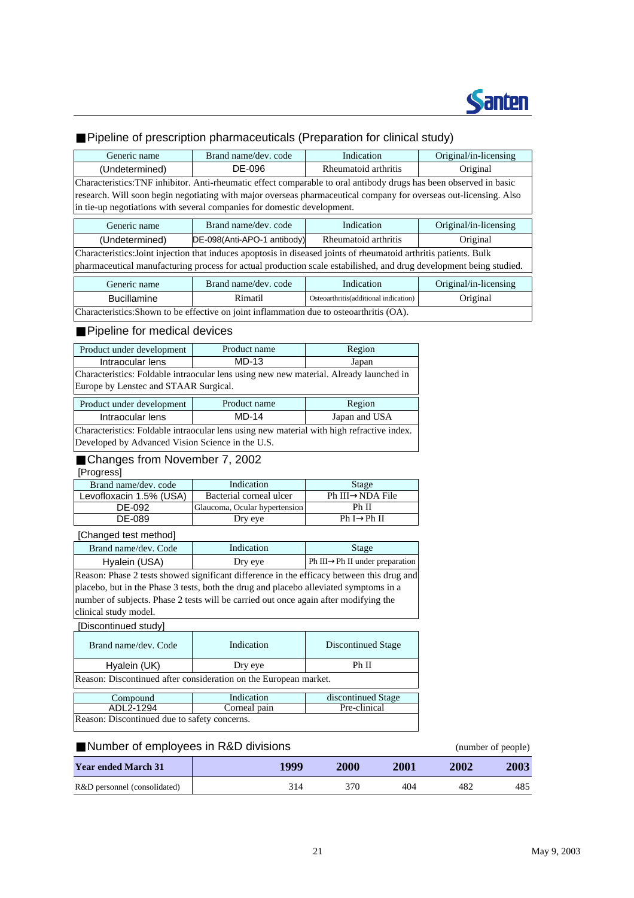

### Pipeline of prescription pharmaceuticals (Preparation for clinical study)

| Generic name                                                                                                       | Brand name/dev. code                                        | Indication                            | Original/in-licensing |  |  |  |  |  |  |
|--------------------------------------------------------------------------------------------------------------------|-------------------------------------------------------------|---------------------------------------|-----------------------|--|--|--|--|--|--|
| (Undetermined)                                                                                                     | DE-096                                                      | Rheumatoid arthritis                  | Original              |  |  |  |  |  |  |
| Characteristics:TNF inhibitor. Anti-rheumatic effect comparable to oral antibody drugs has been observed in basic  |                                                             |                                       |                       |  |  |  |  |  |  |
| research. Will soon begin negotiating with major overseas pharmaceutical company for overseas out-licensing. Also  |                                                             |                                       |                       |  |  |  |  |  |  |
| in tie-up negotiations with several companies for domestic development.                                            |                                                             |                                       |                       |  |  |  |  |  |  |
| Generic name                                                                                                       | Brand name/dev. code<br>Original/in-licensing<br>Indication |                                       |                       |  |  |  |  |  |  |
| (Undetermined)                                                                                                     | DE-098(Anti-APO-1 antibody)                                 | Rheumatoid arthritis                  |                       |  |  |  |  |  |  |
| Characteristics: Joint injection that induces apoptosis in diseased joints of rheumatoid arthritis patients. Bulk  |                                                             |                                       |                       |  |  |  |  |  |  |
| pharmaceutical manufacturing process for actual production scale estabilished, and drug development being studied. |                                                             |                                       |                       |  |  |  |  |  |  |
| Generic name                                                                                                       | Brand name/dev. code                                        | Indication                            | Original/in-licensing |  |  |  |  |  |  |
| <b>Bucillamine</b>                                                                                                 | Rimatil                                                     | Osteoarthritis(additional indication) | Original              |  |  |  |  |  |  |
| Characteristics: Shown to be effective on joint inflammation due to osteoarthritis (OA).                           |                                                             |                                       |                       |  |  |  |  |  |  |

#### Pipeline for medical devices

| Product under development                                                                 | Product name | Region        |  |  |  |  |  |  |
|-------------------------------------------------------------------------------------------|--------------|---------------|--|--|--|--|--|--|
| Intraocular lens                                                                          | $MD-13$      | Japan         |  |  |  |  |  |  |
| Characteristics: Foldable intraocular lens using new new material. Already launched in    |              |               |  |  |  |  |  |  |
| Europe by Lenstec and STAAR Surgical.                                                     |              |               |  |  |  |  |  |  |
| Product under development                                                                 | Product name | Region        |  |  |  |  |  |  |
| Intraocular lens                                                                          | $MD-14$      | Japan and USA |  |  |  |  |  |  |
| Characteristics: Foldable intraocular lens using new material with high refractive index. |              |               |  |  |  |  |  |  |
| Developed by Advanced Vision Science in the U.S.                                          |              |               |  |  |  |  |  |  |

### Changes from November 7, 2002

#### [Progress]

| Brand name/dev. code    | Indication                    | Stage           |
|-------------------------|-------------------------------|-----------------|
| Levofloxacin 1.5% (USA) | Bacterial corneal ulcer       | Ph III NDA File |
| DE-092                  | Glaucoma, Ocular hypertension | Ph II           |
| DE-089                  | Dry eye                       | Ph I Ph II      |
|                         |                               |                 |

#### [Changed test method]

| Brand name/dev. Code                                                                      | Indication |  | Stage                          |  |  |  |  |  |  |
|-------------------------------------------------------------------------------------------|------------|--|--------------------------------|--|--|--|--|--|--|
| Hyalein (USA)                                                                             | Dry eye    |  | Ph III Ph II under preparation |  |  |  |  |  |  |
| Reason: Phase 2 tests showed significant difference in the efficacy between this drug and |            |  |                                |  |  |  |  |  |  |
| placebo, but in the Phase 3 tests, both the drug and placebo alleviated symptoms in a     |            |  |                                |  |  |  |  |  |  |

number of subjects. Phase 2 tests will be carried out once again after modifying the clinical study model.

#### [Discontinued study]

| Brand name/dev. Code                                             | Indication | Discontinued Stage |  |  |  |  |  |  |  |
|------------------------------------------------------------------|------------|--------------------|--|--|--|--|--|--|--|
| Hyalein (UK)                                                     | Dry eye    | Ph II              |  |  |  |  |  |  |  |
| Reason: Discontinued after consideration on the European market. |            |                    |  |  |  |  |  |  |  |

| Compound                                     | Indication   | discontinued Stage |
|----------------------------------------------|--------------|--------------------|
| ADL2-1294                                    | Corneal pain | Pre-clinical       |
| Reason: Discontinued due to safety concerns. |              |                    |

#### Number of employees in R&D divisions (number of people)

| <b>Year ended March 31</b>   | 1999 | 2000 | 2001 | 2002 | 2003 |
|------------------------------|------|------|------|------|------|
| R&D personnel (consolidated) | 314  | 370  | 404  | 482  | 485  |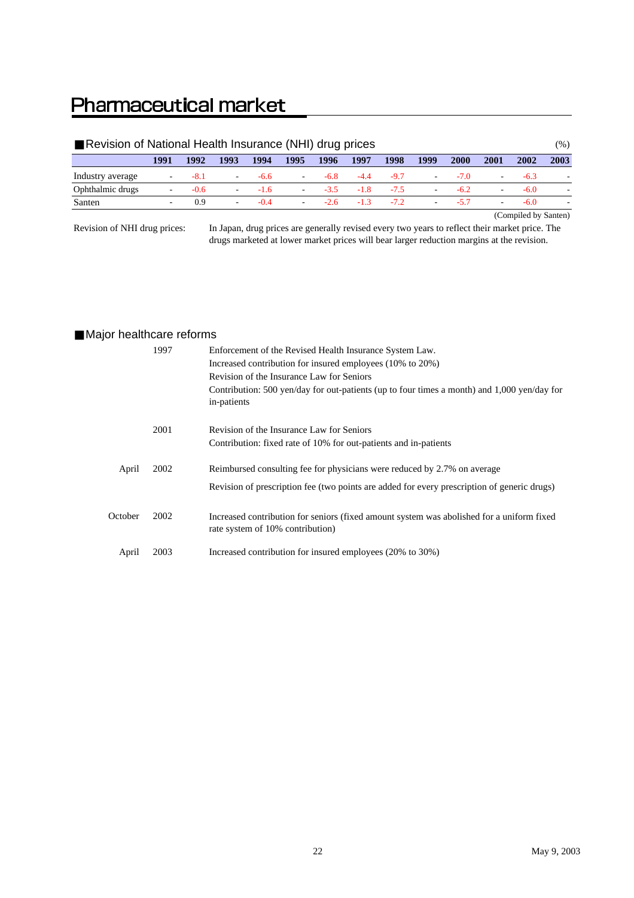# **Pharmaceutical market**

| Revision of National Health Insurance (NHI) drug prices |      |        |                          |        |                          |        |        |        |                          |        |                          | (%)    |      |
|---------------------------------------------------------|------|--------|--------------------------|--------|--------------------------|--------|--------|--------|--------------------------|--------|--------------------------|--------|------|
|                                                         | 1991 | 1992   | 1993                     | 1994   | 1995                     | 1996   | 1997   | 1998   | 1999                     | 2000   | 2001                     | 2002   | 2003 |
| Industry average                                        | -    | $-8.1$ | н.                       | $-6.6$ | $\overline{\phantom{a}}$ | $-6.8$ | $-4.4$ | $-9.7$ | $\sim$                   | $-7.0$ | ۰                        | $-6.3$ |      |
| Ophthalmic drugs                                        |      | $-0.6$ | $\overline{\phantom{a}}$ | $-1.6$ | $\sim$                   | $-3.5$ | $-1.8$ | $-7.5$ | $\overline{\phantom{a}}$ | $-6.2$ | $\overline{\phantom{a}}$ | $-6.0$ |      |
| Santen                                                  |      | 0.9    | ۰.                       | $-0.4$ | $\overline{\phantom{a}}$ | -26    | $-1.3$ | $-7.2$ | $\overline{\phantom{a}}$ | $-5.7$ | $\sim$                   | $-6.0$ |      |
| (Compiled by Santen)                                    |      |        |                          |        |                          |        |        |        |                          |        |                          |        |      |

Revision of NHI drug prices:

In Japan, drug prices are generally revised every two years to reflect their market price. The drugs marketed at lower market prices will bear larger reduction margins at the revision.

#### Major healthcare reforms

|         | 1997 | Enforcement of the Revised Health Insurance System Law.<br>Increased contribution for insured employees (10% to 20%)<br>Revision of the Insurance Law for Seniors<br>Contribution: 500 yen/day for out-patients (up to four times a month) and 1,000 yen/day for<br>in-patients |
|---------|------|---------------------------------------------------------------------------------------------------------------------------------------------------------------------------------------------------------------------------------------------------------------------------------|
|         | 2001 | Revision of the Insurance Law for Seniors<br>Contribution: fixed rate of 10% for out-patients and in-patients                                                                                                                                                                   |
| April   | 2002 | Reimbursed consulting fee for physicians were reduced by 2.7% on average<br>Revision of prescription fee (two points are added for every prescription of generic drugs)                                                                                                         |
| October | 2002 | Increased contribution for seniors (fixed amount system was abolished for a uniform fixed<br>rate system of 10% contribution)                                                                                                                                                   |
| April   | 2003 | Increased contribution for insured employees (20% to 30%)                                                                                                                                                                                                                       |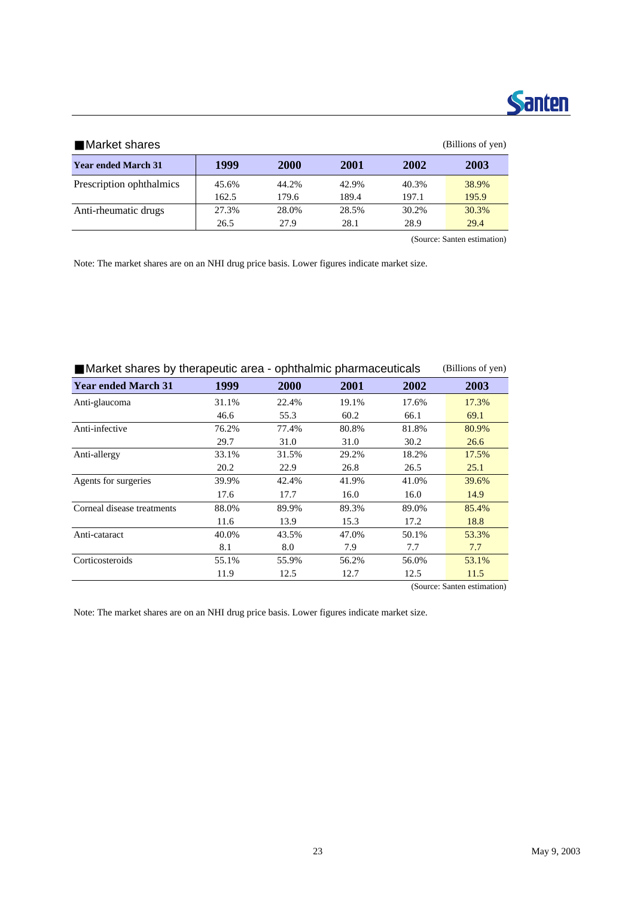

| Market shares              |       |       |       |       | (Billions of yen) |
|----------------------------|-------|-------|-------|-------|-------------------|
| <b>Year ended March 31</b> | 1999  | 2000  | 2001  | 2002  | 2003              |
| Prescription ophthalmics   | 45.6% | 44.2% | 42.9% | 40.3% | 38.9%             |
|                            | 162.5 | 179.6 | 189.4 | 197.1 | 195.9             |
| Anti-rheumatic drugs       | 27.3% | 28.0% | 28.5% | 30.2% | 30.3%             |
|                            | 26.5  | 27.9  | 28.1  | 28.9  | 29.4              |
|                            |       |       |       |       |                   |

(Source: Santen estimation)

Note: The market shares are on an NHI drug price basis. Lower figures indicate market size.

| Market shares by therapeutic area - ophthalmic pharmaceuticals |       |       |       |       | (Billions of yen)           |
|----------------------------------------------------------------|-------|-------|-------|-------|-----------------------------|
| <b>Year ended March 31</b>                                     | 1999  | 2000  | 2001  | 2002  | 2003                        |
| Anti-glaucoma                                                  | 31.1% | 22.4% | 19.1% | 17.6% | 17.3%                       |
|                                                                | 46.6  | 55.3  | 60.2  | 66.1  | 69.1                        |
| Anti-infective                                                 | 76.2% | 77.4% | 80.8% | 81.8% | 80.9%                       |
|                                                                | 29.7  | 31.0  | 31.0  | 30.2  | 26.6                        |
| Anti-allergy                                                   | 33.1% | 31.5% | 29.2% | 18.2% | 17.5%                       |
|                                                                | 20.2  | 22.9  | 26.8  | 26.5  | 25.1                        |
| Agents for surgeries                                           | 39.9% | 42.4% | 41.9% | 41.0% | 39.6%                       |
|                                                                | 17.6  | 17.7  | 16.0  | 16.0  | 14.9                        |
| Corneal disease treatments                                     | 88.0% | 89.9% | 89.3% | 89.0% | 85.4%                       |
|                                                                | 11.6  | 13.9  | 15.3  | 17.2  | 18.8                        |
| Anti-cataract                                                  | 40.0% | 43.5% | 47.0% | 50.1% | 53.3%                       |
|                                                                | 8.1   | 8.0   | 7.9   | 7.7   | 7.7                         |
| Corticosteroids                                                | 55.1% | 55.9% | 56.2% | 56.0% | 53.1%                       |
|                                                                | 11.9  | 12.5  | 12.7  | 12.5  | 11.5                        |
|                                                                |       |       |       |       | (Source: Santen estimation) |

Note: The market shares are on an NHI drug price basis. Lower figures indicate market size.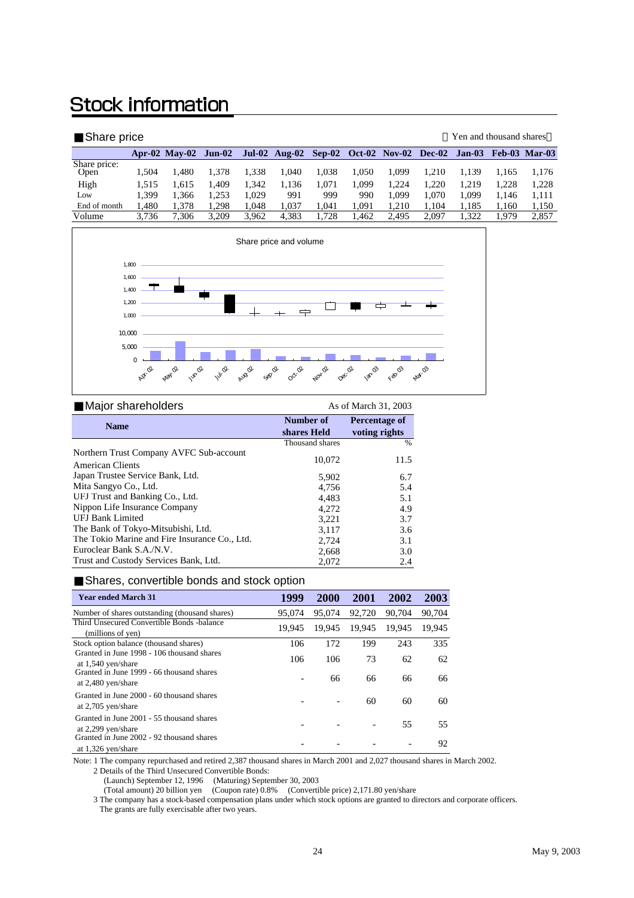# **Stock information**

| Share price          |       |                      |       |       |                                           |       |       |       |       | Yen and thousand shares |       |                      |
|----------------------|-------|----------------------|-------|-------|-------------------------------------------|-------|-------|-------|-------|-------------------------|-------|----------------------|
|                      |       | Apr-02 May-02 Jun-02 |       |       | Jul-02 Aug-02 Sep-02 Oct-02 Nov-02 Dec-02 |       |       |       |       | Jan-03                  |       | <b>Feb-03 Mar-03</b> |
| Share price:<br>Open | 1.504 | 1.480                | 1.378 | 1.338 | .040                                      | 1.038 | 1.050 | 1.099 | 1.210 | 1.139                   | 1.165 | 1,176                |
| High                 | 1.515 | 1.615                | 1,409 | 1.342 | 1,136                                     | 1.071 | .099  | 1.224 | 1.220 | 1.219                   | 1.228 | 1.228                |
| Low                  | .399  | 1.366                | 1,253 | 1.029 | 991                                       | 999   | 990   | 1.099 | 1.070 | 1,099                   | 1.146 | 1.111                |
| End of month         | .480  | 1.378                | 1.298 | 1.048 | .037                                      | 1.041 | 1.091 | 1.210 | 1.104 | 1.185                   | 1.160 | 1,150                |
| Volume               | 3,736 | 7.306                | 3.209 | 3.962 | 4,383                                     | 1.728 | .462  | 2.495 | 2.097 | 1.322                   | 1.979 | 2,857                |



| Major shareholders                                          | As of March 31, 2003 |               |  |  |
|-------------------------------------------------------------|----------------------|---------------|--|--|
| <b>Name</b>                                                 | Number of            | Percentage of |  |  |
|                                                             | shares Held          | voting rights |  |  |
|                                                             | Thousand shares      | %             |  |  |
| Northern Trust Company AVFC Sub-account<br>American Clients | 10,072               | 11.5          |  |  |
| Japan Trustee Service Bank, Ltd.                            | 5.902                | 6.7           |  |  |
| Mita Sangyo Co., Ltd.                                       | 4.756                | 5.4           |  |  |
| UFJ Trust and Banking Co., Ltd.                             | 4,483                | 5.1           |  |  |
| Nippon Life Insurance Company                               | 4.272                | 4.9           |  |  |
| <b>UEJ Bank Limited</b>                                     | 3,221                | 3.7           |  |  |
| The Bank of Tokyo-Mitsubishi, Ltd.                          | 3.117                | 3.6           |  |  |
| The Tokio Marine and Fire Insurance Co., Ltd.               | 2,724                | 3.1           |  |  |
| Euroclear Bank S.A./N.V.                                    | 2,668                | 3.0           |  |  |
| Trust and Custody Services Bank, Ltd.                       | 2.072                | 2.4           |  |  |

#### Shares, convertible bonds and stock option

| <b>Year ended March 31</b>                                        | 1999   | <b>2000</b> | <b>2001</b> | 2002   | 2003   |
|-------------------------------------------------------------------|--------|-------------|-------------|--------|--------|
| Number of shares outstanding (thousand shares)                    | 95,074 | 95,074      | 92,720      | 90,704 | 90.704 |
| Third Unsecured Convertible Bonds -balance<br>(millions of yen)   | 19.945 | 19.945      | 19.945      | 19.945 | 19.945 |
| Stock option balance (thousand shares)                            | 106    | 172         | 199         | 243    | 335    |
| Granted in June 1998 - 106 thousand shares<br>at 1,540 yen/share  | 106    | 106         | 73          | 62     | 62     |
| Granted in June 1999 - 66 thousand shares<br>at 2,480 yen/share   |        | 66          | 66          | 66     | 66     |
| Granted in June 2000 - 60 thousand shares<br>at $2,705$ yen/share |        |             | 60          | 60     | 60     |
| Granted in June 2001 - 55 thousand shares<br>at 2,299 yen/share   |        |             |             | 55     | 55     |
| Granted in June 2002 - 92 thousand shares<br>at 1,326 yen/share   |        |             |             |        | 92     |

Note: 1 The company repurchased and retired 2,387 thousand shares in March 2001 and 2,027 thousand shares in March 2002.

2 Details of the Third Unsecured Convertible Bonds:

(Launch) September 12, 1996 (Maturing) September 30, 2003

(Total amount) 20 billion yen (Coupon rate) 0.8% (Convertible price) 2,171.80 yen/share

 3 The company has a stock-based compensation plans under which stock options are granted to directors and corporate officers. The grants are fully exercisable after two years.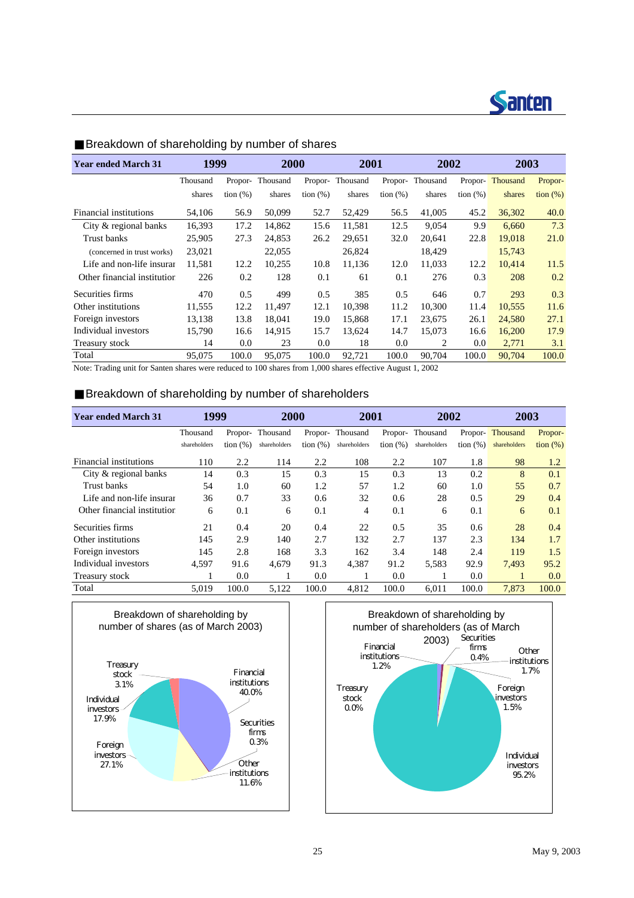

| <b>Year ended March 31</b>  | 1999     |             | 2000     |             | 2001     |             | 2002     |             | 2003     |                   |
|-----------------------------|----------|-------------|----------|-------------|----------|-------------|----------|-------------|----------|-------------------|
|                             | Thousand | Propor-     | Thousand | Propor-     | Thousand | Propor-     | Thousand | Propor-     | Thousand | Propor-           |
|                             | shares   | tion $(\%)$ | shares   | tion $(\%)$ | shares   | tion $(\%)$ | shares   | tion $(\%)$ | shares   | $\frac{1}{2}$ (%) |
| Financial institutions      | 54,106   | 56.9        | 50,099   | 52.7        | 52,429   | 56.5        | 41,005   | 45.2        | 36,302   | 40.0              |
| City & regional banks       | 16,393   | 17.2        | 14,862   | 15.6        | 11,581   | 12.5        | 9,054    | 9.9         | 6,660    | 7.3               |
| Trust banks                 | 25,905   | 27.3        | 24,853   | 26.2        | 29,651   | 32.0        | 20,641   | 22.8        | 19,018   | 21.0              |
| (concerned in trust works)  | 23,021   |             | 22,055   |             | 26,824   |             | 18,429   |             | 15,743   |                   |
| Life and non-life insurar   | 11,581   | 12.2        | 10,255   | 10.8        | 11,136   | 12.0        | 11,033   | 12.2        | 10,414   | 11.5              |
| Other financial institution | 226      | 0.2         | 128      | 0.1         | 61       | 0.1         | 276      | 0.3         | 208      | 0.2               |
| Securities firms            | 470      | 0.5         | 499      | 0.5         | 385      | 0.5         | 646      | 0.7         | 293      | 0.3               |
| Other institutions          | 11,555   | 12.2        | 11,497   | 12.1        | 10,398   | 11.2        | 10,300   | 11.4        | 10,555   | 11.6              |
| Foreign investors           | 13,138   | 13.8        | 18.041   | 19.0        | 15.868   | 17.1        | 23,675   | 26.1        | 24,580   | 27.1              |
| Individual investors        | 15,790   | 16.6        | 14,915   | 15.7        | 13,624   | 14.7        | 15,073   | 16.6        | 16,200   | 17.9              |
| Treasury stock              | 14       | 0.0         | 23       | 0.0         | 18       | 0.0         | 2        | 0.0         | 2,771    | 3.1               |
| Total                       | 95,075   | 100.0       | 95,075   | 100.0       | 92,721   | 100.0       | 90,704   | 100.0       | 90,704   | 100.0             |

#### Breakdown of shareholding by number of shares

Note: Trading unit for Santen shares were reduced to 100 shares from 1,000 shares effective August 1, 2002

#### Breakdown of shareholding by number of shareholders

| <b>Year ended March 31</b>  | 1999         |             | 2000         |             | 2001            |              | 2002            |             | 2003         |                   |
|-----------------------------|--------------|-------------|--------------|-------------|-----------------|--------------|-----------------|-------------|--------------|-------------------|
|                             | Thousand     | Propor-     | Thousand     |             | Propor-Thousand |              | Propor-Thousand | Propor-     | Thousand     | Propor-           |
|                             | shareholders | tion $(\%)$ | shareholders | tion $(\%)$ | shareholders    | tion $(\% )$ | shareholders    | tion $(\%)$ | shareholders | $\frac{1}{2}$ (%) |
| Financial institutions      | 110          | 2.2         | 114          | 2.2         | 108             | 2.2          | 107             | 1.8         | 98           | 1.2               |
| City & regional banks       | 14           | 0.3         | 15           | 0.3         | 15              | 0.3          | 13              | 0.2         | 8            | 0.1               |
| Trust banks                 | 54           | 1.0         | 60           | 1.2         | 57              | 1.2          | 60              | 1.0         | 55           | 0.7               |
| Life and non-life insurar   | 36           | 0.7         | 33           | 0.6         | 32              | 0.6          | 28              | 0.5         | 29           | 0.4               |
| Other financial institution | 6            | 0.1         | 6            | 0.1         | 4               | 0.1          | 6               | 0.1         | 6            | 0.1               |
| Securities firms            | 21           | 0.4         | 20           | 0.4         | 22              | 0.5          | 35              | 0.6         | 28           | 0.4               |
| Other institutions          | 145          | 2.9         | 140          | 2.7         | 132             | 2.7          | 137             | 2.3         | 134          | 1.7               |
| Foreign investors           | 145          | 2.8         | 168          | 3.3         | 162             | 3.4          | 148             | 2.4         | 119          | 1.5               |
| Individual investors        | 4,597        | 91.6        | 4,679        | 91.3        | 4,387           | 91.2         | 5,583           | 92.9        | 7,493        | 95.2              |
| Treasury stock              |              | 0.0         |              | 0.0         |                 | 0.0          | л.              | 0.0         | п.           | 0.0               |
| Total                       | 5.019        | 100.0       | 5,122        | 100.0       | 4,812           | 100.0        | 6.011           | 100.0       | 7,873        | 100.0             |



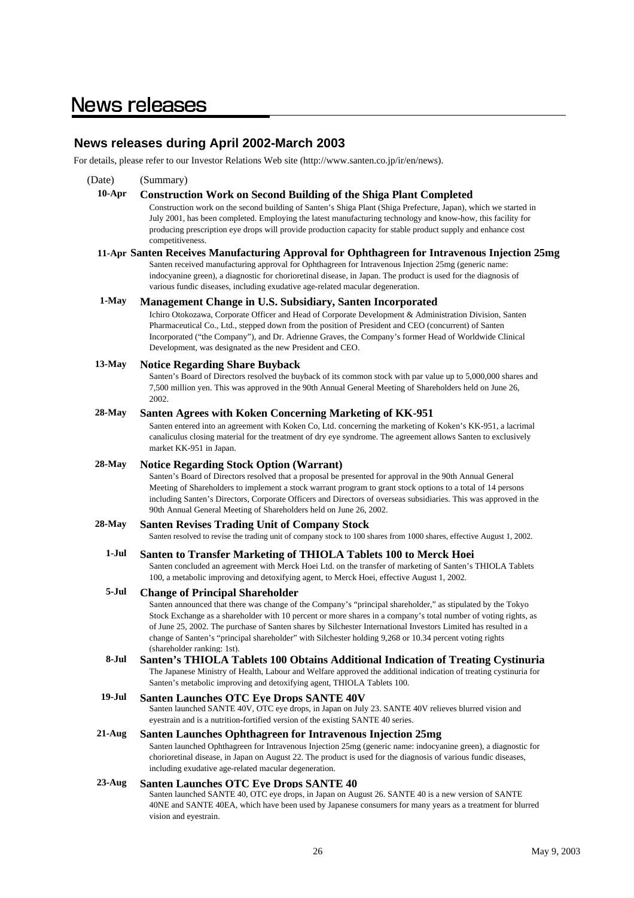### **News releases**

#### **News releases during April 2002-March 2003**

For details, please refer to our Investor Relations Web site (http://www.santen.co.jp/ir/en/news).

(Date) (Summary) **10-Apr Construction Work on Second Building of the Shiga Plant Completed 11-Apr Santen Receives Manufacturing Approval for Ophthagreen for Intravenous Injection 25mg 1-May Management Change in U.S. Subsidiary, Santen Incorporated 13-May Notice Regarding Share Buyback 28-May Santen Agrees with Koken Concerning Marketing of KK-951 28-May Notice Regarding Stock Option (Warrant) 28-May Santen Revises Trading Unit of Company Stock 1-Jul Santen to Transfer Marketing of THIOLA Tablets 100 to Merck Hoei 5-Jul Change of Principal Shareholder 8-Jul Santen's THIOLA Tablets 100 Obtains Additional Indication of Treating Cystinuria 19-Jul Santen Launches OTC Eye Drops SANTE 40V 21-Aug Santen Launches Ophthagreen for Intravenous Injection 25mg 23-Aug Santen Launches OTC Eye Drops SANTE 40** Santen launched SANTE 40, OTC eye drops, in Japan on August 26. SANTE 40 is a new version of SANTE 40NE and SANTE 40EA, which have been used by Japanese consumers for many years as a treatment for blurred vision and eyestrain. Santen launched SANTE 40V, OTC eye drops, in Japan on July 23. SANTE 40V relieves blurred vision and eyestrain and is a nutrition-fortified version of the existing SANTE 40 series. Santen launched Ophthagreen for Intravenous Injection 25mg (generic name: indocyanine green), a diagnostic for chorioretinal disease, in Japan on August 22. The product is used for the diagnosis of various fundic diseases, including exudative age-related macular degeneration. Santen resolved to revise the trading unit of company stock to 100 shares from 1000 shares, effective August 1, 2002. Santen concluded an agreement with Merck Hoei Ltd. on the transfer of marketing of Santen's THIOLA Tablets 100, a metabolic improving and detoxifying agent, to Merck Hoei, effective August 1, 2002. Santen announced that there was change of the Company's "principal shareholder," as stipulated by the Tokyo Stock Exchange as a shareholder with 10 percent or more shares in a company's total number of voting rights, as of June 25, 2002. The purchase of Santen shares by Silchester International Investors Limited has resulted in a change of Santen's "principal shareholder" with Silchester holding 9,268 or 10.34 percent voting rights (shareholder ranking: 1st). The Japanese Ministry of Health, Labour and Welfare approved the additional indication of treating cystinuria for Santen's metabolic improving and detoxifying agent, THIOLA Tablets 100. Ichiro Otokozawa, Corporate Officer and Head of Corporate Development & Administration Division, Santen Pharmaceutical Co., Ltd., stepped down from the position of President and CEO (concurrent) of Santen Incorporated ("the Company"), and Dr. Adrienne Graves, the Company's former Head of Worldwide Clinical Development, was designated as the new President and CEO. Santen's Board of Directors resolved the buyback of its common stock with par value up to 5,000,000 shares and 7,500 million yen. This was approved in the 90th Annual General Meeting of Shareholders held on June 26, 2002. Santen entered into an agreement with Koken Co, Ltd. concerning the marketing of Koken's KK-951, a lacrimal canaliculus closing material for the treatment of dry eye syndrome. The agreement allows Santen to exclusively market KK-951 in Japan. Santen's Board of Directors resolved that a proposal be presented for approval in the 90th Annual General Meeting of Shareholders to implement a stock warrant program to grant stock options to a total of 14 persons including Santen's Directors, Corporate Officers and Directors of overseas subsidiaries. This was approved in the 90th Annual General Meeting of Shareholders held on June 26, 2002. Construction work on the second building of Santen's Shiga Plant (Shiga Prefecture, Japan), which we started in July 2001, has been completed. Employing the latest manufacturing technology and know-how, this facility for producing prescription eye drops will provide production capacity for stable product supply and enhance cost competitiveness. Santen received manufacturing approval for Ophthagreen for Intravenous Injection 25mg (generic name: indocyanine green), a diagnostic for chorioretinal disease, in Japan. The product is used for the diagnosis of various fundic diseases, including exudative age-related macular degeneration.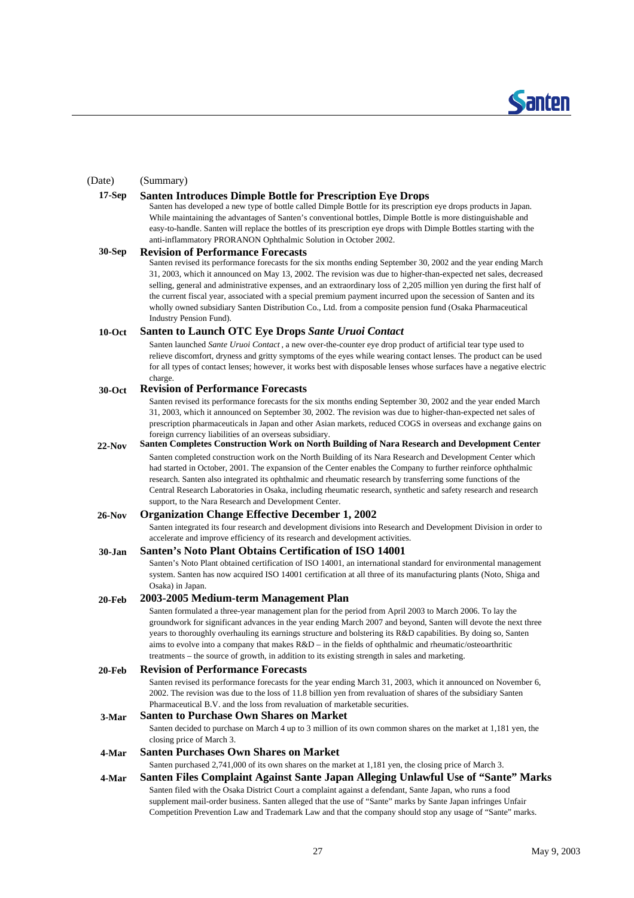

#### (Date) (Summary)

#### **17-Sep Santen Introduces Dimple Bottle for Prescription Eye Drops**

Santen has developed a new type of bottle called Dimple Bottle for its prescription eye drops products in Japan. While maintaining the advantages of Santen's conventional bottles, Dimple Bottle is more distinguishable and easy-to-handle. Santen will replace the bottles of its prescription eye drops with Dimple Bottles starting with the anti-inflammatory PRORANON Ophthalmic Solution in October 2002.

#### **30-Sep Revision of Performance Forecasts**

Santen revised its performance forecasts for the six months ending September 30, 2002 and the year ending March 31, 2003, which it announced on May 13, 2002. The revision was due to higher-than-expected net sales, decreased selling, general and administrative expenses, and an extraordinary loss of 2,205 million yen during the first half of the current fiscal year, associated with a special premium payment incurred upon the secession of Santen and its wholly owned subsidiary Santen Distribution Co., Ltd. from a composite pension fund (Osaka Pharmaceutical Industry Pension Fund).

#### **10-Oct Santen to Launch OTC Eye Drops** *Sante Uruoi Contact*

Santen launched *Sante Uruoi Contact* , a new over-the-counter eye drop product of artificial tear type used to relieve discomfort, dryness and gritty symptoms of the eyes while wearing contact lenses. The product can be used for all types of contact lenses; however, it works best with disposable lenses whose surfaces have a negative electric charge.

#### **30-Oct Revision of Performance Forecasts**

Santen revised its performance forecasts for the six months ending September 30, 2002 and the year ended March 31, 2003, which it announced on September 30, 2002. The revision was due to higher-than-expected net sales of prescription pharmaceuticals in Japan and other Asian markets, reduced COGS in overseas and exchange gains on foreign currency liabilities of an overseas subsidiary.

**22-Nov** Santen completed construction work on the North Building of its Nara Research and Development Center which had started in October, 2001. The expansion of the Center enables the Company to further reinforce ophthalmic **Santen Completes Construction Work on North Building of Nara Research and Development Center** 

research. Santen also integrated its ophthalmic and rheumatic research by transferring some functions of the Central Research Laboratories in Osaka, including rheumatic research, synthetic and safety research and research support, to the Nara Research and Development Center.

#### **26-Nov Organization Change Effective December 1, 2002**

Santen integrated its four research and development divisions into Research and Development Division in order to accelerate and improve efficiency of its research and development activities.

#### **30-Jan Santen's Noto Plant Obtains Certification of ISO 14001**

Santen's Noto Plant obtained certification of ISO 14001, an international standard for environmental management system. Santen has now acquired ISO 14001 certification at all three of its manufacturing plants (Noto, Shiga and Osaka) in Japan.

#### **20-Feb 2003-2005 Medium-term Management Plan**

Santen formulated a three-year management plan for the period from April 2003 to March 2006. To lay the groundwork for significant advances in the year ending March 2007 and beyond, Santen will devote the next three years to thoroughly overhauling its earnings structure and bolstering its R&D capabilities. By doing so, Santen aims to evolve into a company that makes R&D – in the fields of ophthalmic and rheumatic/osteoarthritic treatments – the source of growth, in addition to its existing strength in sales and marketing.

#### **20-Feb Revision of Performance Forecasts**

Santen revised its performance forecasts for the year ending March 31, 2003, which it announced on November 6, 2002. The revision was due to the loss of 11.8 billion yen from revaluation of shares of the subsidiary Santen Pharmaceutical B.V. and the loss from revaluation of marketable securities.

#### **3-Mar Santen to Purchase Own Shares on Market**

Santen decided to purchase on March 4 up to 3 million of its own common shares on the market at 1,181 yen, the closing price of March 3.

#### **4-Mar Santen Purchases Own Shares on Market**

Santen purchased 2,741,000 of its own shares on the market at 1,181 yen, the closing price of March 3.

#### **4-Mar Santen Files Complaint Against Sante Japan Alleging Unlawful Use of "Sante" Marks**  Santen filed with the Osaka District Court a complaint against a defendant, Sante Japan, who runs a food supplement mail-order business. Santen alleged that the use of "Sante" marks by Sante Japan infringes Unfair